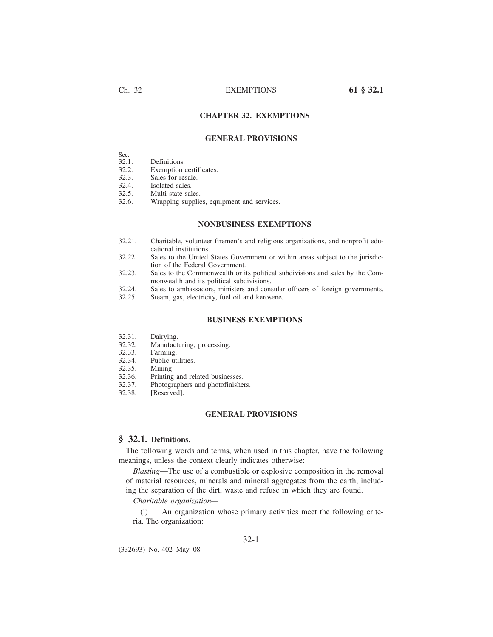Ch. 32 EXEMPTIONS **61 § 32.1**

## **CHAPTER 32. EXEMPTIONS**

## **GENERAL PROVISIONS**

| . | $\sim$ | . . |  |  |
|---|--------|-----|--|--|
|   |        |     |  |  |

32.1. Definitions. 32.2. Exemption certificates.

- 
- 32.3. Sales for resale.<br>32.4. Isolated sales.
- 32.4. Isolated sales.<br>32.5. Multi-state sal Multi-state sales.
- 
- 32.6. Wrapping supplies, equipment and services.

## **NONBUSINESS EXEMPTIONS**

- 32.21. Charitable, volunteer firemen's and religious organizations, and nonprofit educational institutions.
- 32.22. Sales to the United States Government or within areas subject to the jurisdiction of the Federal Government.
- 32.23. Sales to the Commonwealth or its political subdivisions and sales by the Commonwealth and its political subdivisions.
- 32.24. Sales to ambassadors, ministers and consular officers of foreign governments.
- Steam, gas, electricity, fuel oil and kerosene.

## **BUSINESS EXEMPTIONS**

- 32.31. Dairying.<br>32.32. Manufact
- 32.32. Manufacturing; processing.
- Farming.
- 32.34. Public utilities.<br>32.35. Mining.
- 32.35. Mining.
- 32.36. Printing and related businesses.<br>32.37. Photographers and photofinishes
- 32.37. Photographers and photofinishers.<br>32.38. [Reserved].
- [Reserved].

## **GENERAL PROVISIONS**

## **§ 32.1. Definitions.**

The following words and terms, when used in this chapter, have the following meanings, unless the context clearly indicates otherwise:

*Blasting*—The use of a combustible or explosive composition in the removal of material resources, minerals and mineral aggregates from the earth, including the separation of the dirt, waste and refuse in which they are found.

*Charitable organization—*

(i) An organization whose primary activities meet the following criteria. The organization:

32-1

(332693) No. 402 May 08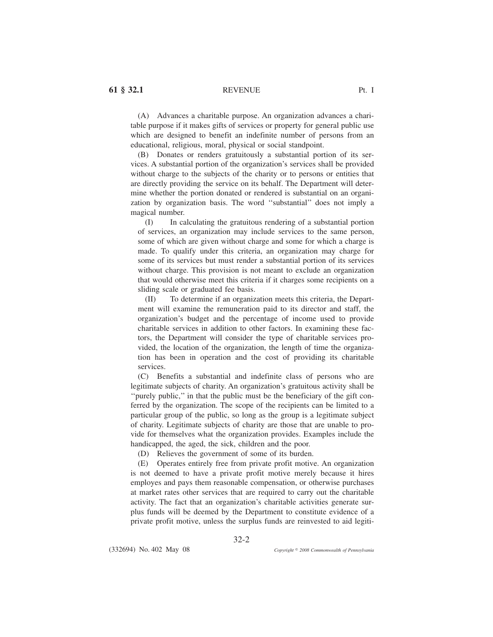(A) Advances a charitable purpose. An organization advances a charitable purpose if it makes gifts of services or property for general public use which are designed to benefit an indefinite number of persons from an educational, religious, moral, physical or social standpoint.

(B) Donates or renders gratuitously a substantial portion of its services. A substantial portion of the organization's services shall be provided without charge to the subjects of the charity or to persons or entities that are directly providing the service on its behalf. The Department will determine whether the portion donated or rendered is substantial on an organization by organization basis. The word ''substantial'' does not imply a magical number.

(I) In calculating the gratuitous rendering of a substantial portion of services, an organization may include services to the same person, some of which are given without charge and some for which a charge is made. To qualify under this criteria, an organization may charge for some of its services but must render a substantial portion of its services without charge. This provision is not meant to exclude an organization that would otherwise meet this criteria if it charges some recipients on a sliding scale or graduated fee basis.

(II) To determine if an organization meets this criteria, the Department will examine the remuneration paid to its director and staff, the organization's budget and the percentage of income used to provide charitable services in addition to other factors. In examining these factors, the Department will consider the type of charitable services provided, the location of the organization, the length of time the organization has been in operation and the cost of providing its charitable services.

(C) Benefits a substantial and indefinite class of persons who are legitimate subjects of charity. An organization's gratuitous activity shall be ''purely public,'' in that the public must be the beneficiary of the gift conferred by the organization. The scope of the recipients can be limited to a particular group of the public, so long as the group is a legitimate subject of charity. Legitimate subjects of charity are those that are unable to provide for themselves what the organization provides. Examples include the handicapped, the aged, the sick, children and the poor.

(D) Relieves the government of some of its burden.

(E) Operates entirely free from private profit motive. An organization is not deemed to have a private profit motive merely because it hires employes and pays them reasonable compensation, or otherwise purchases at market rates other services that are required to carry out the charitable activity. The fact that an organization's charitable activities generate surplus funds will be deemed by the Department to constitute evidence of a private profit motive, unless the surplus funds are reinvested to aid legiti-

32-2

(332694) No. 402 May 08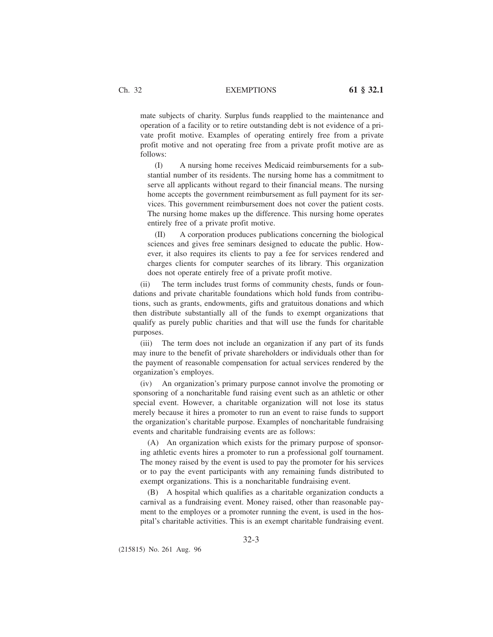mate subjects of charity. Surplus funds reapplied to the maintenance and operation of a facility or to retire outstanding debt is not evidence of a private profit motive. Examples of operating entirely free from a private profit motive and not operating free from a private profit motive are as follows:

(I) A nursing home receives Medicaid reimbursements for a substantial number of its residents. The nursing home has a commitment to serve all applicants without regard to their financial means. The nursing home accepts the government reimbursement as full payment for its services. This government reimbursement does not cover the patient costs. The nursing home makes up the difference. This nursing home operates entirely free of a private profit motive.

(II) A corporation produces publications concerning the biological sciences and gives free seminars designed to educate the public. However, it also requires its clients to pay a fee for services rendered and charges clients for computer searches of its library. This organization does not operate entirely free of a private profit motive.

(ii) The term includes trust forms of community chests, funds or foundations and private charitable foundations which hold funds from contributions, such as grants, endowments, gifts and gratuitous donations and which then distribute substantially all of the funds to exempt organizations that qualify as purely public charities and that will use the funds for charitable purposes.

(iii) The term does not include an organization if any part of its funds may inure to the benefit of private shareholders or individuals other than for the payment of reasonable compensation for actual services rendered by the organization's employes.

(iv) An organization's primary purpose cannot involve the promoting or sponsoring of a noncharitable fund raising event such as an athletic or other special event. However, a charitable organization will not lose its status merely because it hires a promoter to run an event to raise funds to support the organization's charitable purpose. Examples of noncharitable fundraising events and charitable fundraising events are as follows:

(A) An organization which exists for the primary purpose of sponsoring athletic events hires a promoter to run a professional golf tournament. The money raised by the event is used to pay the promoter for his services or to pay the event participants with any remaining funds distributed to exempt organizations. This is a noncharitable fundraising event.

(B) A hospital which qualifies as a charitable organization conducts a carnival as a fundraising event. Money raised, other than reasonable payment to the employes or a promoter running the event, is used in the hospital's charitable activities. This is an exempt charitable fundraising event.

(215815) No. 261 Aug. 96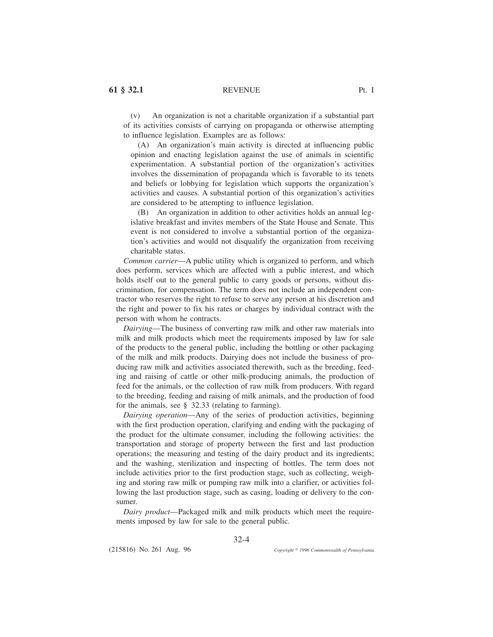(v) An organization is not a charitable organization if a substantial part of its activities consists of carrying on propaganda or otherwise attempting to influence legislation. Examples are as follows:

(A) An organization's main activity is directed at influencing public opinion and enacting legislation against the use of animals in scientific experimentation. A substantial portion of the organization's activities involves the dissemination of propaganda which is favorable to its tenets and beliefs or lobbying for legislation which supports the organization's activities and causes. A substantial portion of this organization's activities are considered to be attempting to influence legislation.

(B) An organization in addition to other activities holds an annual legislative breakfast and invites members of the State House and Senate. This event is not considered to involve a substantial portion of the organization's activities and would not disqualify the organization from receiving charitable status.

*Common carrier*—A public utility which is organized to perform, and which does perform, services which are affected with a public interest, and which holds itself out to the general public to carry goods or persons, without discrimination, for compensation. The term does not include an independent contractor who reserves the right to refuse to serve any person at his discretion and the right and power to fix his rates or charges by individual contract with the person with whom he contracts.

*Dairying*—The business of converting raw milk and other raw materials into milk and milk products which meet the requirements imposed by law for sale of the products to the general public, including the bottling or other packaging of the milk and milk products. Dairying does not include the business of producing raw milk and activities associated therewith, such as the breeding, feeding and raising of cattle or other milk-producing animals, the production of feed for the animals, or the collection of raw milk from producers. With regard to the breeding, feeding and raising of milk animals, and the production of food for the animals, see § 32.33 (relating to farming).

*Dairying operation*—Any of the series of production activities, beginning with the first production operation, clarifying and ending with the packaging of the product for the ultimate consumer, including the following activities: the transportation and storage of property between the first and last production operations; the measuring and testing of the dairy product and its ingredients; and the washing, sterilization and inspecting of bottles. The term does not include activities prior to the first production stage, such as collecting, weighing and storing raw milk or pumping raw milk into a clarifier, or activities following the last production stage, such as casing, loading or delivery to the consumer.

*Dairy product*—Packaged milk and milk products which meet the requirements imposed by law for sale to the general public.

32-4

(215816) No. 261 Aug. 96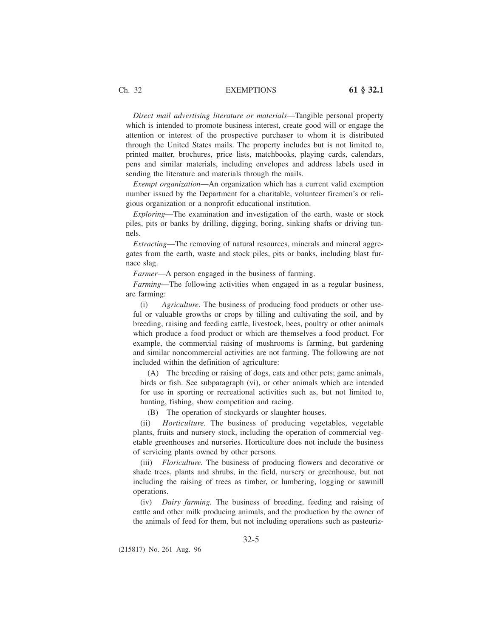## Ch. 32 EXEMPTIONS **61 § 32.1**

*Direct mail advertising literature or materials*—Tangible personal property which is intended to promote business interest, create good will or engage the attention or interest of the prospective purchaser to whom it is distributed through the United States mails. The property includes but is not limited to, printed matter, brochures, price lists, matchbooks, playing cards, calendars, pens and similar materials, including envelopes and address labels used in sending the literature and materials through the mails.

*Exempt organization*—An organization which has a current valid exemption number issued by the Department for a charitable, volunteer firemen's or religious organization or a nonprofit educational institution.

*Exploring*—The examination and investigation of the earth, waste or stock piles, pits or banks by drilling, digging, boring, sinking shafts or driving tunnels.

*Extracting*—The removing of natural resources, minerals and mineral aggregates from the earth, waste and stock piles, pits or banks, including blast furnace slag.

*Farmer*—A person engaged in the business of farming.

*Farming*—The following activities when engaged in as a regular business, are farming:

(i) *Agriculture.* The business of producing food products or other useful or valuable growths or crops by tilling and cultivating the soil, and by breeding, raising and feeding cattle, livestock, bees, poultry or other animals which produce a food product or which are themselves a food product. For example, the commercial raising of mushrooms is farming, but gardening and similar noncommercial activities are not farming. The following are not included within the definition of agriculture:

(A) The breeding or raising of dogs, cats and other pets; game animals, birds or fish. See subparagraph (vi), or other animals which are intended for use in sporting or recreational activities such as, but not limited to, hunting, fishing, show competition and racing.

(B) The operation of stockyards or slaughter houses.

(ii) *Horticulture.* The business of producing vegetables, vegetable plants, fruits and nursery stock, including the operation of commercial vegetable greenhouses and nurseries. Horticulture does not include the business of servicing plants owned by other persons.

(iii) *Floriculture.* The business of producing flowers and decorative or shade trees, plants and shrubs, in the field, nursery or greenhouse, but not including the raising of trees as timber, or lumbering, logging or sawmill operations.

(iv) *Dairy farming.* The business of breeding, feeding and raising of cattle and other milk producing animals, and the production by the owner of the animals of feed for them, but not including operations such as pasteuriz-

(215817) No. 261 Aug. 96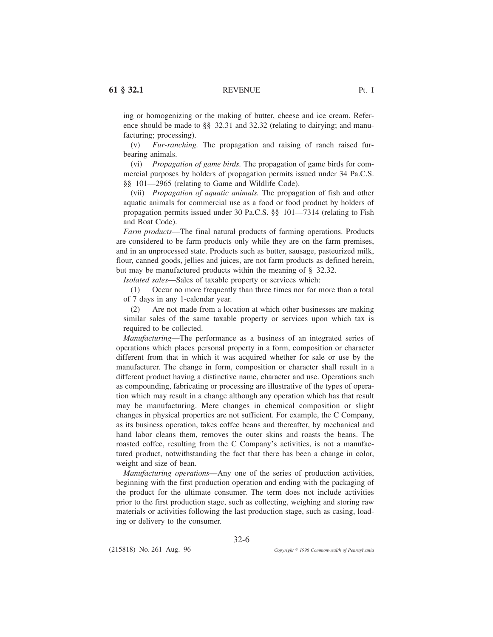ing or homogenizing or the making of butter, cheese and ice cream. Reference should be made to §§ 32.31 and 32.32 (relating to dairying; and manufacturing; processing).

(v) *Fur-ranching.* The propagation and raising of ranch raised furbearing animals.

(vi) *Propagation of game birds.* The propagation of game birds for commercial purposes by holders of propagation permits issued under 34 Pa.C.S. §§ 101—2965 (relating to Game and Wildlife Code).

(vii) *Propagation of aquatic animals.* The propagation of fish and other aquatic animals for commercial use as a food or food product by holders of propagation permits issued under 30 Pa.C.S. §§ 101—7314 (relating to Fish and Boat Code).

*Farm products*—The final natural products of farming operations. Products are considered to be farm products only while they are on the farm premises, and in an unprocessed state. Products such as butter, sausage, pasteurized milk, flour, canned goods, jellies and juices, are not farm products as defined herein, but may be manufactured products within the meaning of § 32.32.

*Isolated sales*—Sales of taxable property or services which:

(1) Occur no more frequently than three times nor for more than a total of 7 days in any 1-calendar year.

(2) Are not made from a location at which other businesses are making similar sales of the same taxable property or services upon which tax is required to be collected.

*Manufacturing*—The performance as a business of an integrated series of operations which places personal property in a form, composition or character different from that in which it was acquired whether for sale or use by the manufacturer. The change in form, composition or character shall result in a different product having a distinctive name, character and use. Operations such as compounding, fabricating or processing are illustrative of the types of operation which may result in a change although any operation which has that result may be manufacturing. Mere changes in chemical composition or slight changes in physical properties are not sufficient. For example, the C Company, as its business operation, takes coffee beans and thereafter, by mechanical and hand labor cleans them, removes the outer skins and roasts the beans. The roasted coffee, resulting from the C Company's activities, is not a manufactured product, notwithstanding the fact that there has been a change in color, weight and size of bean.

*Manufacturing operations*—Any one of the series of production activities, beginning with the first production operation and ending with the packaging of the product for the ultimate consumer. The term does not include activities prior to the first production stage, such as collecting, weighing and storing raw materials or activities following the last production stage, such as casing, loading or delivery to the consumer.

32-6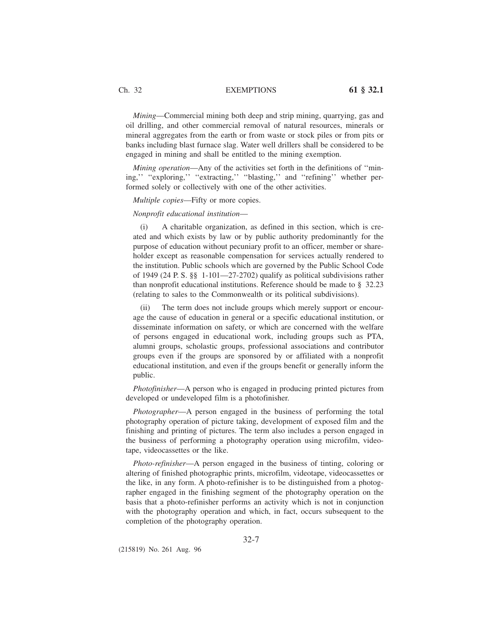*Mining*—Commercial mining both deep and strip mining, quarrying, gas and oil drilling, and other commercial removal of natural resources, minerals or mineral aggregates from the earth or from waste or stock piles or from pits or banks including blast furnace slag. Water well drillers shall be considered to be engaged in mining and shall be entitled to the mining exemption.

*Mining operation*—Any of the activities set forth in the definitions of ''mining," "exploring," "extracting," "blasting," and "refining" whether performed solely or collectively with one of the other activities.

*Multiple copies*—Fifty or more copies.

*Nonprofit educational institution*—

(i) A charitable organization, as defined in this section, which is created and which exists by law or by public authority predominantly for the purpose of education without pecuniary profit to an officer, member or shareholder except as reasonable compensation for services actually rendered to the institution. Public schools which are governed by the Public School Code of 1949 (24 P. S. §§ 1-101—27-2702) qualify as political subdivisions rather than nonprofit educational institutions. Reference should be made to § 32.23 (relating to sales to the Commonwealth or its political subdivisions).

(ii) The term does not include groups which merely support or encourage the cause of education in general or a specific educational institution, or disseminate information on safety, or which are concerned with the welfare of persons engaged in educational work, including groups such as PTA, alumni groups, scholastic groups, professional associations and contributor groups even if the groups are sponsored by or affiliated with a nonprofit educational institution, and even if the groups benefit or generally inform the public.

*Photofinisher*—A person who is engaged in producing printed pictures from developed or undeveloped film is a photofinisher.

*Photographer*—A person engaged in the business of performing the total photography operation of picture taking, development of exposed film and the finishing and printing of pictures. The term also includes a person engaged in the business of performing a photography operation using microfilm, videotape, videocassettes or the like.

*Photo-refinisher*—A person engaged in the business of tinting, coloring or altering of finished photographic prints, microfilm, videotape, videocassettes or the like, in any form. A photo-refinisher is to be distinguished from a photographer engaged in the finishing segment of the photography operation on the basis that a photo-refinisher performs an activity which is not in conjunction with the photography operation and which, in fact, occurs subsequent to the completion of the photography operation.

(215819) No. 261 Aug. 96

32-7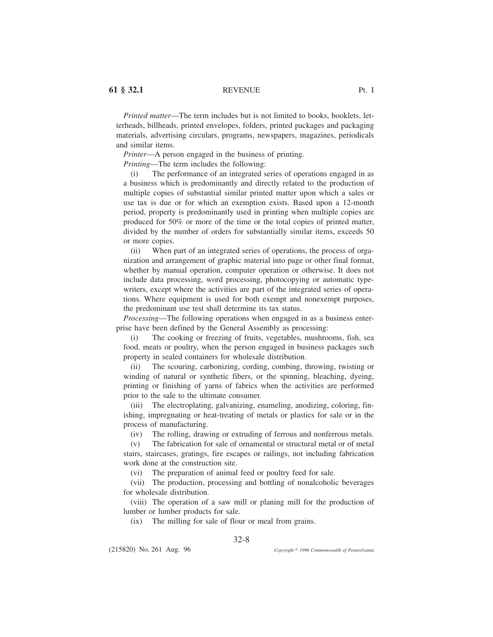*Printed matter*—The term includes but is not limited to books, booklets, letterheads, billheads, printed envelopes, folders, printed packages and packaging materials, advertising circulars, programs, newspapers, magazines, periodicals and similar items.

*Printer*—A person engaged in the business of printing.

*Printing*—The term includes the following:

(i) The performance of an integrated series of operations engaged in as a business which is predominantly and directly related to the production of multiple copies of substantial similar printed matter upon which a sales or use tax is due or for which an exemption exists. Based upon a 12-month period, property is predominantly used in printing when multiple copies are produced for 50% or more of the time or the total copies of printed matter, divided by the number of orders for substantially similar items, exceeds 50 or more copies.

(ii) When part of an integrated series of operations, the process of organization and arrangement of graphic material into page or other final format, whether by manual operation, computer operation or otherwise. It does not include data processing, word processing, photocopying or automatic typewriters, except where the activities are part of the integrated series of operations. Where equipment is used for both exempt and nonexempt purposes, the predominant use test shall determine its tax status.

*Processing*—The following operations when engaged in as a business enterprise have been defined by the General Assembly as processing:

(i) The cooking or freezing of fruits, vegetables, mushrooms, fish, sea food, meats or poultry, when the person engaged in business packages such property in sealed containers for wholesale distribution.

(ii) The scouring, carbonizing, cording, combing, throwing, twisting or winding of natural or synthetic fibers, or the spinning, bleaching, dyeing, printing or finishing of yarns of fabrics when the activities are performed prior to the sale to the ultimate consumer.

(iii) The electroplating, galvanizing, enameling, anodizing, coloring, finishing, impregnating or heat-treating of metals or plastics for sale or in the process of manufacturing.

(iv) The rolling, drawing or extruding of ferrous and nonferrous metals.

(v) The fabrication for sale of ornamental or structural metal or of metal stairs, staircases, gratings, fire escapes or railings, not including fabrication work done at the construction site.

(vi) The preparation of animal feed or poultry feed for sale.

(vii) The production, processing and bottling of nonalcoholic beverages for wholesale distribution.

(viii) The operation of a saw mill or planing mill for the production of lumber or lumber products for sale.

32-8

(ix) The milling for sale of flour or meal from grains.

(215820) No. 261 Aug. 96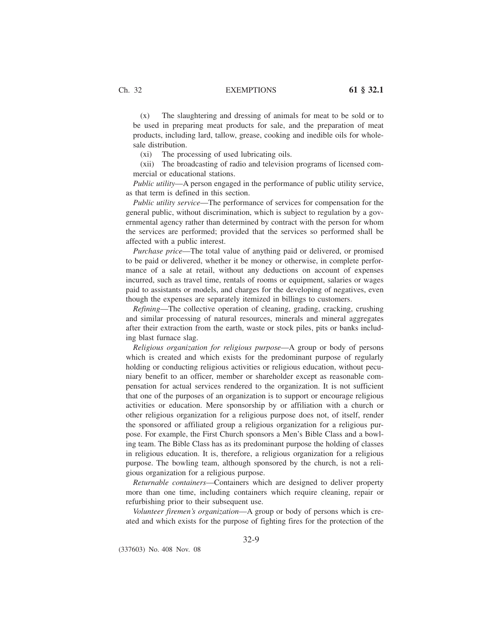(x) The slaughtering and dressing of animals for meat to be sold or to be used in preparing meat products for sale, and the preparation of meat products, including lard, tallow, grease, cooking and inedible oils for wholesale distribution.

(xi) The processing of used lubricating oils.

(xii) The broadcasting of radio and television programs of licensed commercial or educational stations.

*Public utility*—A person engaged in the performance of public utility service, as that term is defined in this section.

*Public utility service*—The performance of services for compensation for the general public, without discrimination, which is subject to regulation by a governmental agency rather than determined by contract with the person for whom the services are performed; provided that the services so performed shall be affected with a public interest.

*Purchase price*—The total value of anything paid or delivered, or promised to be paid or delivered, whether it be money or otherwise, in complete performance of a sale at retail, without any deductions on account of expenses incurred, such as travel time, rentals of rooms or equipment, salaries or wages paid to assistants or models, and charges for the developing of negatives, even though the expenses are separately itemized in billings to customers.

*Refining*—The collective operation of cleaning, grading, cracking, crushing and similar processing of natural resources, minerals and mineral aggregates after their extraction from the earth, waste or stock piles, pits or banks including blast furnace slag.

*Religious organization for religious purpose*—A group or body of persons which is created and which exists for the predominant purpose of regularly holding or conducting religious activities or religious education, without pecuniary benefit to an officer, member or shareholder except as reasonable compensation for actual services rendered to the organization. It is not sufficient that one of the purposes of an organization is to support or encourage religious activities or education. Mere sponsorship by or affiliation with a church or other religious organization for a religious purpose does not, of itself, render the sponsored or affiliated group a religious organization for a religious purpose. For example, the First Church sponsors a Men's Bible Class and a bowling team. The Bible Class has as its predominant purpose the holding of classes in religious education. It is, therefore, a religious organization for a religious purpose. The bowling team, although sponsored by the church, is not a religious organization for a religious purpose.

*Returnable containers*—Containers which are designed to deliver property more than one time, including containers which require cleaning, repair or refurbishing prior to their subsequent use.

*Volunteer firemen's organization*—A group or body of persons which is created and which exists for the purpose of fighting fires for the protection of the

(337603) No. 408 Nov. 08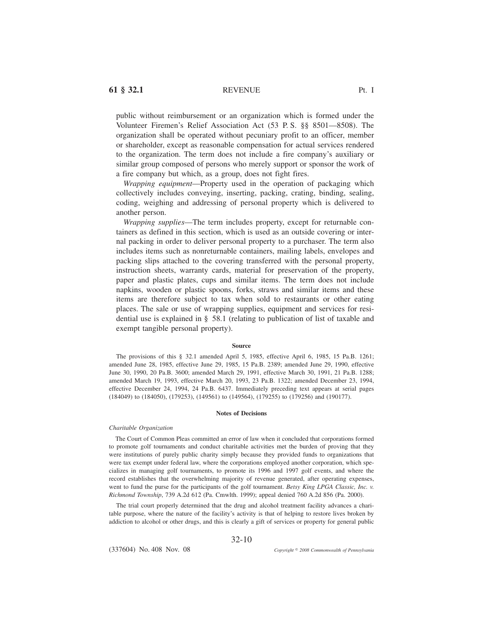public without reimbursement or an organization which is formed under the Volunteer Firemen's Relief Association Act (53 P. S. §§ 8501—8508). The organization shall be operated without pecuniary profit to an officer, member or shareholder, except as reasonable compensation for actual services rendered to the organization. The term does not include a fire company's auxiliary or similar group composed of persons who merely support or sponsor the work of a fire company but which, as a group, does not fight fires.

*Wrapping equipment*—Property used in the operation of packaging which collectively includes conveying, inserting, packing, crating, binding, sealing, coding, weighing and addressing of personal property which is delivered to another person.

*Wrapping supplies*—The term includes property, except for returnable containers as defined in this section, which is used as an outside covering or internal packing in order to deliver personal property to a purchaser. The term also includes items such as nonreturnable containers, mailing labels, envelopes and packing slips attached to the covering transferred with the personal property, instruction sheets, warranty cards, material for preservation of the property, paper and plastic plates, cups and similar items. The term does not include napkins, wooden or plastic spoons, forks, straws and similar items and these items are therefore subject to tax when sold to restaurants or other eating places. The sale or use of wrapping supplies, equipment and services for residential use is explained in § 58.1 (relating to publication of list of taxable and exempt tangible personal property).

### **Source**

The provisions of this § 32.1 amended April 5, 1985, effective April 6, 1985, 15 Pa.B. 1261; amended June 28, 1985, effective June 29, 1985, 15 Pa.B. 2389; amended June 29, 1990, effective June 30, 1990, 20 Pa.B. 3600; amended March 29, 1991, effective March 30, 1991, 21 Pa.B. 1288; amended March 19, 1993, effective March 20, 1993, 23 Pa.B. 1322; amended December 23, 1994, effective December 24, 1994, 24 Pa.B. 6437. Immediately preceding text appears at serial pages (184049) to (184050), (179253), (149561) to (149564), (179255) to (179256) and (190177).

#### **Notes of Decisions**

#### *Charitable Organization*

The Court of Common Pleas committed an error of law when it concluded that corporations formed to promote golf tournaments and conduct charitable activities met the burden of proving that they were institutions of purely public charity simply because they provided funds to organizations that were tax exempt under federal law, where the corporations employed another corporation, which specializes in managing golf tournaments, to promote its 1996 and 1997 golf events, and where the record establishes that the overwhelming majority of revenue generated, after operating expenses, went to fund the purse for the participants of the golf tournament. *Betsy King LPGA Classic, Inc. v. Richmond Township*, 739 A.2d 612 (Pa. Cmwlth. 1999); appeal denied 760 A.2d 856 (Pa. 2000).

The trial court properly determined that the drug and alcohol treatment facility advances a charitable purpose, where the nature of the facility's activity is that of helping to restore lives broken by addiction to alcohol or other drugs, and this is clearly a gift of services or property for general public

32-10

(337604) No. 408 Nov. 08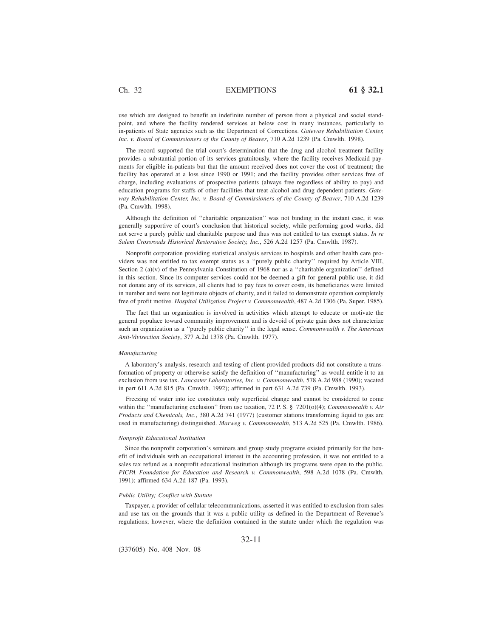use which are designed to benefit an indefinite number of person from a physical and social standpoint, and where the facility rendered services at below cost in many instances, particularly to in-patients of State agencies such as the Department of Corrections. *Gateway Rehabilitation Center, Inc. v. Board of Commissioners of the County of Beaver*, 710 A.2d 1239 (Pa. Cmwlth. 1998).

The record supported the trial court's determination that the drug and alcohol treatment facility provides a substantial portion of its services gratuitously, where the facility receives Medicaid payments for eligible in-patients but that the amount received does not cover the cost of treatment; the facility has operated at a loss since 1990 or 1991; and the facility provides other services free of charge, including evaluations of prospective patients (always free regardless of ability to pay) and education programs for staffs of other facilities that treat alcohol and drug dependent patients. *Gateway Rehabilitation Center, Inc. v. Board of Commissioners of the County of Beaver*, 710 A.2d 1239 (Pa. Cmwlth. 1998).

Although the definition of ''charitable organization'' was not binding in the instant case, it was generally supportive of court's conclusion that historical society, while performing good works, did not serve a purely public and charitable purpose and thus was not entitled to tax exempt status. *In re Salem Crossroads Historical Restoration Society, Inc.*, 526 A.2d 1257 (Pa. Cmwlth. 1987).

Nonprofit corporation providing statistical analysis services to hospitals and other health care providers was not entitled to tax exempt status as a ''purely public charity'' required by Article VIII, Section 2 (a)(v) of the Pennsylvania Constitution of 1968 nor as a "charitable organization" defined in this section. Since its computer services could not be deemed a gift for general public use, it did not donate any of its services, all clients had to pay fees to cover costs, its beneficiaries were limited in number and were not legitimate objects of charity, and it failed to demonstrate operation completely free of profit motive. *Hospital Utilization Project v. Commonwealth*, 487 A.2d 1306 (Pa. Super. 1985).

The fact that an organization is involved in activities which attempt to educate or motivate the general populace toward community improvement and is devoid of private gain does not characterize such an organization as a ''purely public charity'' in the legal sense. *Commonwealth v. The American Anti-Vivisection Society*, 377 A.2d 1378 (Pa. Cmwlth. 1977).

#### *Manufacturing*

A laboratory's analysis, research and testing of client-provided products did not constitute a transformation of property or otherwise satisfy the definition of ''manufacturing'' as would entitle it to an exclusion from use tax. *Lancaster Laboratories, Inc. v. Commonwealth*, 578 A.2d 988 (1990); vacated in part 611 A.2d 815 (Pa. Cmwlth. 1992); affirmed in part 631 A.2d 739 (Pa. Cmwlth. 1993).

Freezing of water into ice constitutes only superficial change and cannot be considered to come within the "manufacturing exclusion" from use taxation, 72 P. S. § 7201(o)(4); *Commonwealth v. Air Products and Chemicals, Inc.*, 380 A.2d 741 (1977) (customer stations transforming liquid to gas are used in manufacturing) distinguished. *Marweg v. Commonwealth*, 513 A.2d 525 (Pa. Cmwlth. 1986).

#### *Nonprofit Educational Institution*

Since the nonprofit corporation's seminars and group study programs existed primarily for the benefit of individuals with an occupational interest in the accounting profession, it was not entitled to a sales tax refund as a nonprofit educational institution although its programs were open to the public. *PICPA Foundation for Education and Research v. Commonwealth*, 598 A.2d 1078 (Pa. Cmwlth. 1991); affirmed 634 A.2d 187 (Pa. 1993).

## *Public Utility; Conflict with Statute*

Taxpayer, a provider of cellular telecommunications, asserted it was entitled to exclusion from sales and use tax on the grounds that it was a public utility as defined in the Department of Revenue's regulations; however, where the definition contained in the statute under which the regulation was

(337605) No. 408 Nov. 08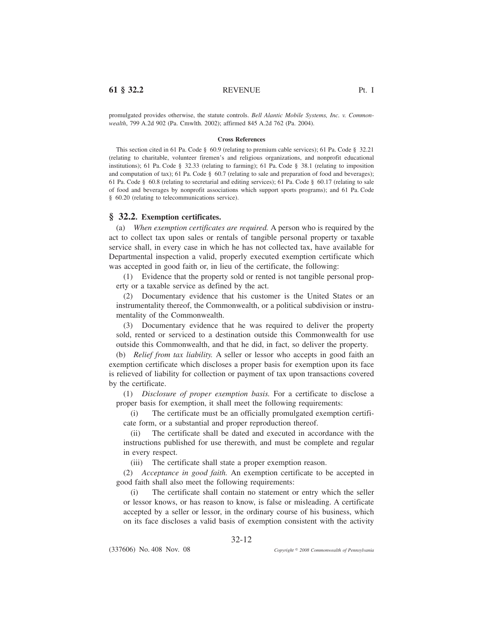promulgated provides otherwise, the statute controls. *Bell Alantic Mobile Systems, Inc. v. Commonwealth*, 799 A.2d 902 (Pa. Cmwlth. 2002); affirmed 845 A.2d 762 (Pa. 2004).

#### **Cross References**

This section cited in 61 Pa. Code § 60.9 (relating to premium cable services); 61 Pa. Code § 32.21 (relating to charitable, volunteer firemen's and religious organizations, and nonprofit educational institutions); 61 Pa. Code § 32.33 (relating to farming); 61 Pa. Code § 38.1 (relating to imposition and computation of tax); 61 Pa. Code § 60.7 (relating to sale and preparation of food and beverages); 61 Pa. Code § 60.8 (relating to secretarial and editing services); 61 Pa. Code § 60.17 (relating to sale of food and beverages by nonprofit associations which support sports programs); and 61 Pa. Code § 60.20 (relating to telecommunications service).

## **§ 32.2. Exemption certificates.**

(a) *When exemption certificates are required.* A person who is required by the act to collect tax upon sales or rentals of tangible personal property or taxable service shall, in every case in which he has not collected tax, have available for Departmental inspection a valid, properly executed exemption certificate which was accepted in good faith or, in lieu of the certificate, the following:

(1) Evidence that the property sold or rented is not tangible personal property or a taxable service as defined by the act.

(2) Documentary evidence that his customer is the United States or an instrumentality thereof, the Commonwealth, or a political subdivision or instrumentality of the Commonwealth.

(3) Documentary evidence that he was required to deliver the property sold, rented or serviced to a destination outside this Commonwealth for use outside this Commonwealth, and that he did, in fact, so deliver the property.

(b) *Relief from tax liability.* A seller or lessor who accepts in good faith an exemption certificate which discloses a proper basis for exemption upon its face is relieved of liability for collection or payment of tax upon transactions covered by the certificate.

(1) *Disclosure of proper exemption basis.* For a certificate to disclose a proper basis for exemption, it shall meet the following requirements:

(i) The certificate must be an officially promulgated exemption certificate form, or a substantial and proper reproduction thereof.

(ii) The certificate shall be dated and executed in accordance with the instructions published for use therewith, and must be complete and regular in every respect.

(iii) The certificate shall state a proper exemption reason.

(2) *Acceptance in good faith.* An exemption certificate to be accepted in good faith shall also meet the following requirements:

(i) The certificate shall contain no statement or entry which the seller or lessor knows, or has reason to know, is false or misleading. A certificate accepted by a seller or lessor, in the ordinary course of his business, which on its face discloses a valid basis of exemption consistent with the activity

32-12

(337606) No. 408 Nov. 08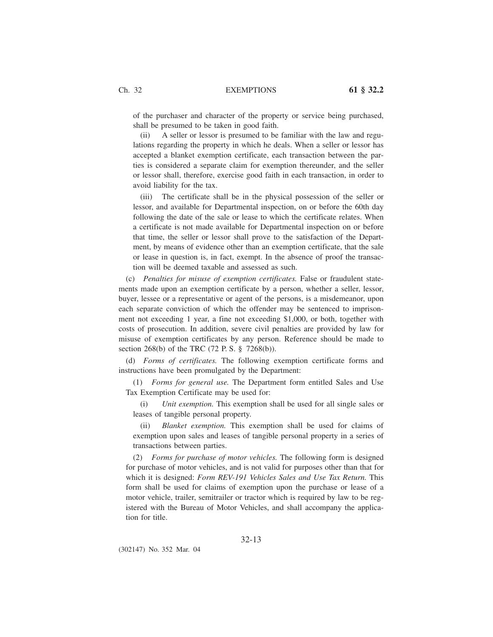of the purchaser and character of the property or service being purchased, shall be presumed to be taken in good faith.

(ii) A seller or lessor is presumed to be familiar with the law and regulations regarding the property in which he deals. When a seller or lessor has accepted a blanket exemption certificate, each transaction between the parties is considered a separate claim for exemption thereunder, and the seller or lessor shall, therefore, exercise good faith in each transaction, in order to avoid liability for the tax.

(iii) The certificate shall be in the physical possession of the seller or lessor, and available for Departmental inspection, on or before the 60th day following the date of the sale or lease to which the certificate relates. When a certificate is not made available for Departmental inspection on or before that time, the seller or lessor shall prove to the satisfaction of the Department, by means of evidence other than an exemption certificate, that the sale or lease in question is, in fact, exempt. In the absence of proof the transaction will be deemed taxable and assessed as such.

(c) *Penalties for misuse of exemption certificates.* False or fraudulent statements made upon an exemption certificate by a person, whether a seller, lessor, buyer, lessee or a representative or agent of the persons, is a misdemeanor, upon each separate conviction of which the offender may be sentenced to imprisonment not exceeding 1 year, a fine not exceeding \$1,000, or both, together with costs of prosecution. In addition, severe civil penalties are provided by law for misuse of exemption certificates by any person. Reference should be made to section 268(b) of the TRC (72 P. S. § 7268(b)).

(d) *Forms of certificates.* The following exemption certificate forms and instructions have been promulgated by the Department:

(1) *Forms for general use.* The Department form entitled Sales and Use Tax Exemption Certificate may be used for:

(i) *Unit exemption.* This exemption shall be used for all single sales or leases of tangible personal property.

(ii) *Blanket exemption.* This exemption shall be used for claims of exemption upon sales and leases of tangible personal property in a series of transactions between parties.

(2) *Forms for purchase of motor vehicles.* The following form is designed for purchase of motor vehicles, and is not valid for purposes other than that for which it is designed: *Form REV-191 Vehicles Sales and Use Tax Return.* This form shall be used for claims of exemption upon the purchase or lease of a motor vehicle, trailer, semitrailer or tractor which is required by law to be registered with the Bureau of Motor Vehicles, and shall accompany the application for title.

(302147) No. 352 Mar. 04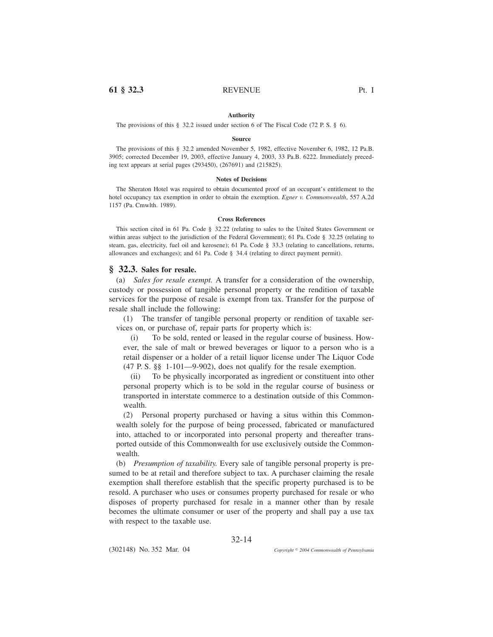## **61 § 32.3** REVENUE Pt. I

## **Authority**

The provisions of this § 32.2 issued under section 6 of The Fiscal Code (72 P. S. § 6).

#### **Source**

The provisions of this § 32.2 amended November 5, 1982, effective November 6, 1982, 12 Pa.B. 3905; corrected December 19, 2003, effective January 4, 2003, 33 Pa.B. 6222. Immediately preceding text appears at serial pages (293450), (267691) and (215825).

#### **Notes of Decisions**

The Sheraton Hotel was required to obtain documented proof of an occupant's entitlement to the hotel occupancy tax exemption in order to obtain the exemption. *Egner v. Commonwealth*, 557 A.2d 1157 (Pa. Cmwlth. 1989).

## **Cross References**

This section cited in 61 Pa. Code § 32.22 (relating to sales to the United States Government or within areas subject to the jurisdiction of the Federal Government); 61 Pa. Code § 32.25 (relating to steam, gas, electricity, fuel oil and kerosene); 61 Pa. Code § 33.3 (relating to cancellations, returns, allowances and exchanges); and 61 Pa. Code § 34.4 (relating to direct payment permit).

## **§ 32.3. Sales for resale.**

(a) *Sales for resale exempt.* A transfer for a consideration of the ownership, custody or possession of tangible personal property or the rendition of taxable services for the purpose of resale is exempt from tax. Transfer for the purpose of resale shall include the following:

(1) The transfer of tangible personal property or rendition of taxable services on, or purchase of, repair parts for property which is:

(i) To be sold, rented or leased in the regular course of business. However, the sale of malt or brewed beverages or liquor to a person who is a retail dispenser or a holder of a retail liquor license under The Liquor Code (47 P. S. §§ 1-101—9-902), does not qualify for the resale exemption.

(ii) To be physically incorporated as ingredient or constituent into other personal property which is to be sold in the regular course of business or transported in interstate commerce to a destination outside of this Commonwealth.

(2) Personal property purchased or having a situs within this Commonwealth solely for the purpose of being processed, fabricated or manufactured into, attached to or incorporated into personal property and thereafter transported outside of this Commonwealth for use exclusively outside the Commonwealth.

(b) *Presumption of taxability.* Every sale of tangible personal property is presumed to be at retail and therefore subject to tax. A purchaser claiming the resale exemption shall therefore establish that the specific property purchased is to be resold. A purchaser who uses or consumes property purchased for resale or who disposes of property purchased for resale in a manner other than by resale becomes the ultimate consumer or user of the property and shall pay a use tax with respect to the taxable use.

32-14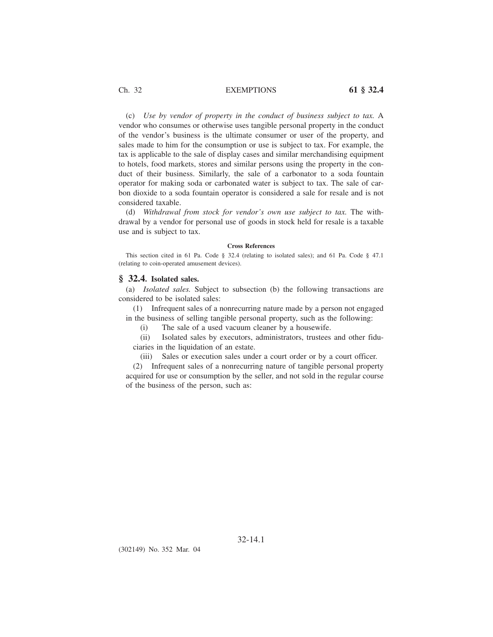(c) *Use by vendor of property in the conduct of business subject to tax.* A vendor who consumes or otherwise uses tangible personal property in the conduct of the vendor's business is the ultimate consumer or user of the property, and sales made to him for the consumption or use is subject to tax. For example, the tax is applicable to the sale of display cases and similar merchandising equipment to hotels, food markets, stores and similar persons using the property in the conduct of their business. Similarly, the sale of a carbonator to a soda fountain operator for making soda or carbonated water is subject to tax. The sale of carbon dioxide to a soda fountain operator is considered a sale for resale and is not considered taxable.

(d) *Withdrawal from stock for vendor's own use subject to tax.* The withdrawal by a vendor for personal use of goods in stock held for resale is a taxable use and is subject to tax.

#### **Cross References**

This section cited in 61 Pa. Code § 32.4 (relating to isolated sales); and 61 Pa. Code § 47.1 (relating to coin-operated amusement devices).

## **§ 32.4. Isolated sales.**

(a) *Isolated sales.* Subject to subsection (b) the following transactions are considered to be isolated sales:

(1) Infrequent sales of a nonrecurring nature made by a person not engaged in the business of selling tangible personal property, such as the following:

(i) The sale of a used vacuum cleaner by a housewife.

(ii) Isolated sales by executors, administrators, trustees and other fiduciaries in the liquidation of an estate.

(iii) Sales or execution sales under a court order or by a court officer.

(2) Infrequent sales of a nonrecurring nature of tangible personal property acquired for use or consumption by the seller, and not sold in the regular course of the business of the person, such as:

32-14.1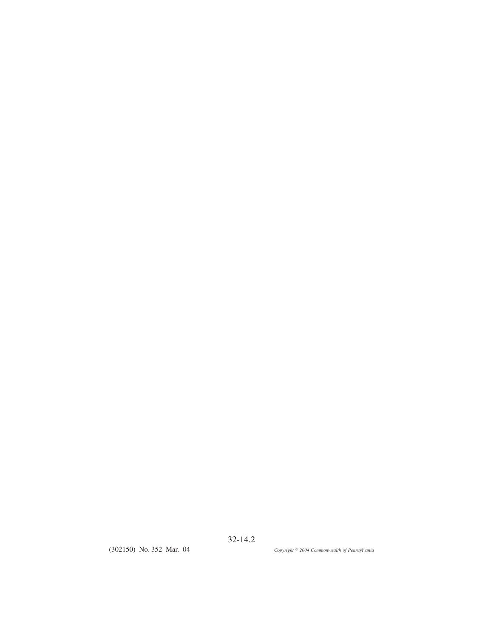(302150) No. 352 Mar. 04

*2004 Commonwealth of Pennsylvania*

32-14.2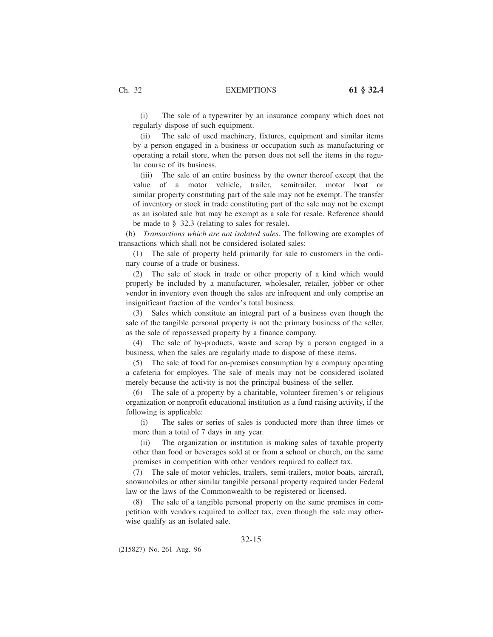(i) The sale of a typewriter by an insurance company which does not regularly dispose of such equipment.

(ii) The sale of used machinery, fixtures, equipment and similar items by a person engaged in a business or occupation such as manufacturing or operating a retail store, when the person does not sell the items in the regular course of its business.

(iii) The sale of an entire business by the owner thereof except that the value of a motor vehicle, trailer, semitrailer, motor boat or similar property constituting part of the sale may not be exempt. The transfer of inventory or stock in trade constituting part of the sale may not be exempt as an isolated sale but may be exempt as a sale for resale. Reference should be made to § 32.3 (relating to sales for resale).

(b) *Transactions which are not isolated sales.* The following are examples of transactions which shall not be considered isolated sales:

(1) The sale of property held primarily for sale to customers in the ordinary course of a trade or business.

(2) The sale of stock in trade or other property of a kind which would properly be included by a manufacturer, wholesaler, retailer, jobber or other vendor in inventory even though the sales are infrequent and only comprise an insignificant fraction of the vendor's total business.

(3) Sales which constitute an integral part of a business even though the sale of the tangible personal property is not the primary business of the seller, as the sale of repossessed property by a finance company.

(4) The sale of by-products, waste and scrap by a person engaged in a business, when the sales are regularly made to dispose of these items.

(5) The sale of food for on-premises consumption by a company operating a cafeteria for employes. The sale of meals may not be considered isolated merely because the activity is not the principal business of the seller.

(6) The sale of a property by a charitable, volunteer firemen's or religious organization or nonprofit educational institution as a fund raising activity, if the following is applicable:

(i) The sales or series of sales is conducted more than three times or more than a total of 7 days in any year.

(ii) The organization or institution is making sales of taxable property other than food or beverages sold at or from a school or church, on the same premises in competition with other vendors required to collect tax.

(7) The sale of motor vehicles, trailers, semi-trailers, motor boats, aircraft, snowmobiles or other similar tangible personal property required under Federal law or the laws of the Commonwealth to be registered or licensed.

(8) The sale of a tangible personal property on the same premises in competition with vendors required to collect tax, even though the sale may otherwise qualify as an isolated sale.

32-15

(215827) No. 261 Aug. 96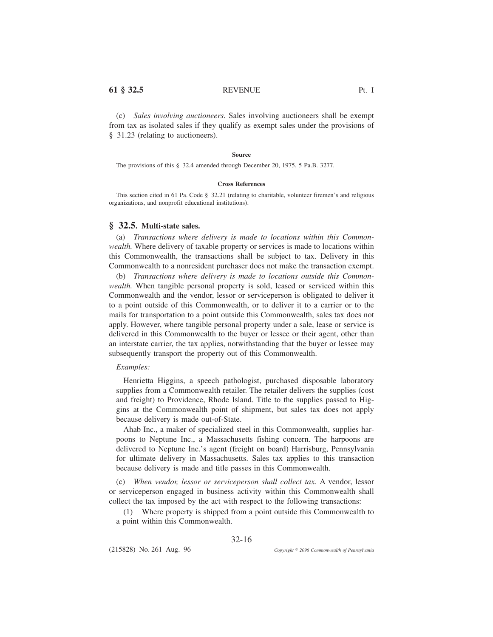## **61 § 32.5** REVENUE Pt. I

(c) *Sales involving auctioneers.* Sales involving auctioneers shall be exempt from tax as isolated sales if they qualify as exempt sales under the provisions of § 31.23 (relating to auctioneers).

## **Source**

The provisions of this § 32.4 amended through December 20, 1975, 5 Pa.B. 3277.

## **Cross References**

This section cited in 61 Pa. Code § 32.21 (relating to charitable, volunteer firemen's and religious organizations, and nonprofit educational institutions).

## **§ 32.5. Multi-state sales.**

(a) *Transactions where delivery is made to locations within this Commonwealth.* Where delivery of taxable property or services is made to locations within this Commonwealth, the transactions shall be subject to tax. Delivery in this Commonwealth to a nonresident purchaser does not make the transaction exempt.

(b) *Transactions where delivery is made to locations outside this Commonwealth.* When tangible personal property is sold, leased or serviced within this Commonwealth and the vendor, lessor or serviceperson is obligated to deliver it to a point outside of this Commonwealth, or to deliver it to a carrier or to the mails for transportation to a point outside this Commonwealth, sales tax does not apply. However, where tangible personal property under a sale, lease or service is delivered in this Commonwealth to the buyer or lessee or their agent, other than an interstate carrier, the tax applies, notwithstanding that the buyer or lessee may subsequently transport the property out of this Commonwealth.

## *Examples:*

Henrietta Higgins, a speech pathologist, purchased disposable laboratory supplies from a Commonwealth retailer. The retailer delivers the supplies (cost and freight) to Providence, Rhode Island. Title to the supplies passed to Higgins at the Commonwealth point of shipment, but sales tax does not apply because delivery is made out-of-State.

Ahab Inc., a maker of specialized steel in this Commonwealth, supplies harpoons to Neptune Inc., a Massachusetts fishing concern. The harpoons are delivered to Neptune Inc.'s agent (freight on board) Harrisburg, Pennsylvania for ultimate delivery in Massachusetts. Sales tax applies to this transaction because delivery is made and title passes in this Commonwealth.

(c) *When vendor, lessor or serviceperson shall collect tax.* A vendor, lessor or serviceperson engaged in business activity within this Commonwealth shall collect the tax imposed by the act with respect to the following transactions:

(1) Where property is shipped from a point outside this Commonwealth to a point within this Commonwealth.

32-16

(215828) No. 261 Aug. 96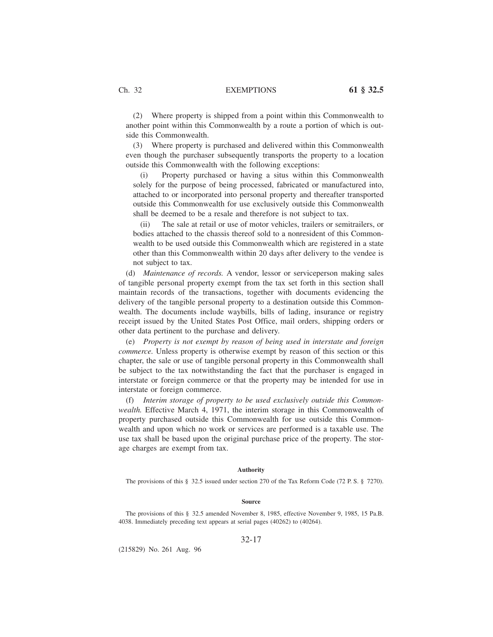(2) Where property is shipped from a point within this Commonwealth to another point within this Commonwealth by a route a portion of which is outside this Commonwealth.

(3) Where property is purchased and delivered within this Commonwealth even though the purchaser subsequently transports the property to a location outside this Commonwealth with the following exceptions:

(i) Property purchased or having a situs within this Commonwealth solely for the purpose of being processed, fabricated or manufactured into, attached to or incorporated into personal property and thereafter transported outside this Commonwealth for use exclusively outside this Commonwealth shall be deemed to be a resale and therefore is not subject to tax.

(ii) The sale at retail or use of motor vehicles, trailers or semitrailers, or bodies attached to the chassis thereof sold to a nonresident of this Commonwealth to be used outside this Commonwealth which are registered in a state other than this Commonwealth within 20 days after delivery to the vendee is not subject to tax.

(d) *Maintenance of records.* A vendor, lessor or serviceperson making sales of tangible personal property exempt from the tax set forth in this section shall maintain records of the transactions, together with documents evidencing the delivery of the tangible personal property to a destination outside this Commonwealth. The documents include waybills, bills of lading, insurance or registry receipt issued by the United States Post Office, mail orders, shipping orders or other data pertinent to the purchase and delivery.

(e) *Property is not exempt by reason of being used in interstate and foreign commerce.* Unless property is otherwise exempt by reason of this section or this chapter, the sale or use of tangible personal property in this Commonwealth shall be subject to the tax notwithstanding the fact that the purchaser is engaged in interstate or foreign commerce or that the property may be intended for use in interstate or foreign commerce.

(f) *Interim storage of property to be used exclusively outside this Commonwealth.* Effective March 4, 1971, the interim storage in this Commonwealth of property purchased outside this Commonwealth for use outside this Commonwealth and upon which no work or services are performed is a taxable use. The use tax shall be based upon the original purchase price of the property. The storage charges are exempt from tax.

## **Authority**

The provisions of this § 32.5 issued under section 270 of the Tax Reform Code (72 P. S. § 7270).

#### **Source**

The provisions of this § 32.5 amended November 8, 1985, effective November 9, 1985, 15 Pa.B. 4038. Immediately preceding text appears at serial pages (40262) to (40264).

## 32-17

(215829) No. 261 Aug. 96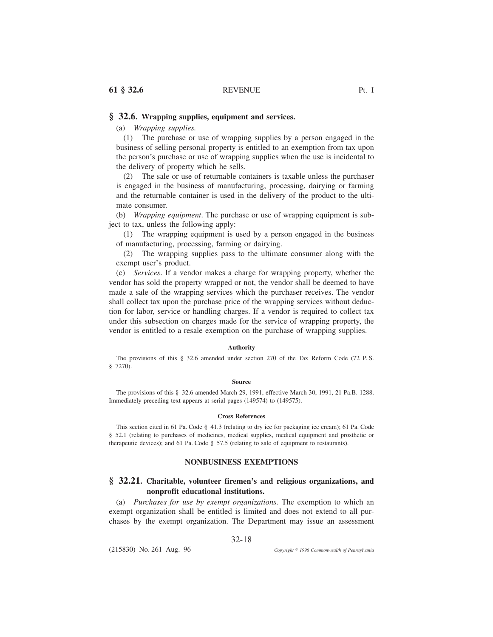## **§ 32.6. Wrapping supplies, equipment and services.**

(a) *Wrapping supplies.*

(1) The purchase or use of wrapping supplies by a person engaged in the business of selling personal property is entitled to an exemption from tax upon the person's purchase or use of wrapping supplies when the use is incidental to the delivery of property which he sells.

(2) The sale or use of returnable containers is taxable unless the purchaser is engaged in the business of manufacturing, processing, dairying or farming and the returnable container is used in the delivery of the product to the ultimate consumer.

(b) *Wrapping equipment*. The purchase or use of wrapping equipment is subject to tax, unless the following apply:

(1) The wrapping equipment is used by a person engaged in the business of manufacturing, processing, farming or dairying.

(2) The wrapping supplies pass to the ultimate consumer along with the exempt user's product.

(c) *Services*. If a vendor makes a charge for wrapping property, whether the vendor has sold the property wrapped or not, the vendor shall be deemed to have made a sale of the wrapping services which the purchaser receives. The vendor shall collect tax upon the purchase price of the wrapping services without deduction for labor, service or handling charges. If a vendor is required to collect tax under this subsection on charges made for the service of wrapping property, the vendor is entitled to a resale exemption on the purchase of wrapping supplies.

#### **Authority**

The provisions of this § 32.6 amended under section 270 of the Tax Reform Code (72 P. S. § 7270).

#### **Source**

The provisions of this § 32.6 amended March 29, 1991, effective March 30, 1991, 21 Pa.B. 1288. Immediately preceding text appears at serial pages (149574) to (149575).

## **Cross References**

This section cited in 61 Pa. Code § 41.3 (relating to dry ice for packaging ice cream); 61 Pa. Code § 52.1 (relating to purchases of medicines, medical supplies, medical equipment and prosthetic or therapeutic devices); and 61 Pa. Code § 57.5 (relating to sale of equipment to restaurants).

## **NONBUSINESS EXEMPTIONS**

## **§ 32.21. Charitable, volunteer firemen's and religious organizations, and nonprofit educational institutions.**

(a) *Purchases for use by exempt organizations.* The exemption to which an exempt organization shall be entitled is limited and does not extend to all purchases by the exempt organization. The Department may issue an assessment

32-18

(215830) No. 261 Aug. 96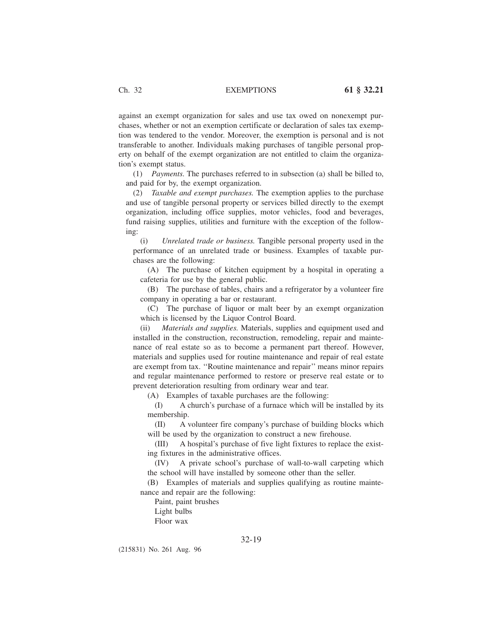against an exempt organization for sales and use tax owed on nonexempt purchases, whether or not an exemption certificate or declaration of sales tax exemption was tendered to the vendor. Moreover, the exemption is personal and is not transferable to another. Individuals making purchases of tangible personal property on behalf of the exempt organization are not entitled to claim the organization's exempt status.

(1) *Payments.* The purchases referred to in subsection (a) shall be billed to, and paid for by, the exempt organization.

(2) *Taxable and exempt purchases.* The exemption applies to the purchase and use of tangible personal property or services billed directly to the exempt organization, including office supplies, motor vehicles, food and beverages, fund raising supplies, utilities and furniture with the exception of the following:

(i) *Unrelated trade or business.* Tangible personal property used in the performance of an unrelated trade or business. Examples of taxable purchases are the following:

(A) The purchase of kitchen equipment by a hospital in operating a cafeteria for use by the general public.

(B) The purchase of tables, chairs and a refrigerator by a volunteer fire company in operating a bar or restaurant.

(C) The purchase of liquor or malt beer by an exempt organization which is licensed by the Liquor Control Board.

(ii) *Materials and supplies.* Materials, supplies and equipment used and installed in the construction, reconstruction, remodeling, repair and maintenance of real estate so as to become a permanent part thereof. However, materials and supplies used for routine maintenance and repair of real estate are exempt from tax. ''Routine maintenance and repair'' means minor repairs and regular maintenance performed to restore or preserve real estate or to prevent deterioration resulting from ordinary wear and tear.

(A) Examples of taxable purchases are the following:

(I) A church's purchase of a furnace which will be installed by its membership.

(II) A volunteer fire company's purchase of building blocks which will be used by the organization to construct a new firehouse.

(III) A hospital's purchase of five light fixtures to replace the existing fixtures in the administrative offices.

(IV) A private school's purchase of wall-to-wall carpeting which the school will have installed by someone other than the seller.

(B) Examples of materials and supplies qualifying as routine maintenance and repair are the following:

Paint, paint brushes

Light bulbs

Floor wax

32-19

(215831) No. 261 Aug. 96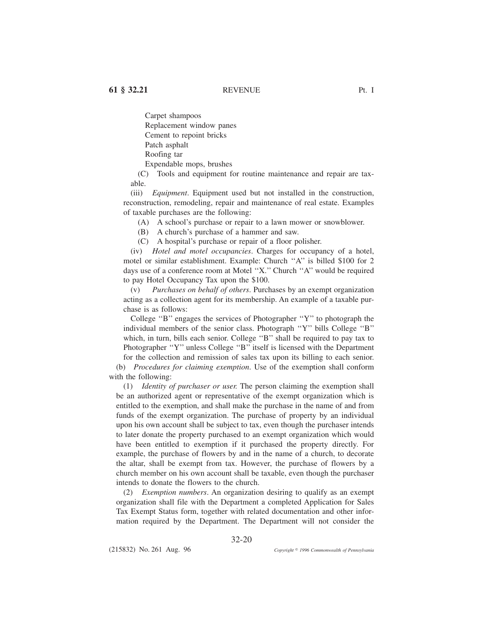Carpet shampoos Replacement window panes Cement to repoint bricks Patch asphalt Roofing tar Expendable mops, brushes

(C) Tools and equipment for routine maintenance and repair are taxable.

(iii) *Equipment*. Equipment used but not installed in the construction, reconstruction, remodeling, repair and maintenance of real estate. Examples of taxable purchases are the following:

(A) A school's purchase or repair to a lawn mower or snowblower.

(B) A church's purchase of a hammer and saw.

(C) A hospital's purchase or repair of a floor polisher.

(iv) *Hotel and motel occupancies*. Charges for occupancy of a hotel, motel or similar establishment. Example: Church ''A'' is billed \$100 for 2 days use of a conference room at Motel ''X.'' Church ''A'' would be required to pay Hotel Occupancy Tax upon the \$100.

(v) *Purchases on behalf of others*. Purchases by an exempt organization acting as a collection agent for its membership. An example of a taxable purchase is as follows:

College ''B'' engages the services of Photographer ''Y'' to photograph the individual members of the senior class. Photograph ''Y'' bills College ''B'' which, in turn, bills each senior. College "B" shall be required to pay tax to Photographer ''Y'' unless College ''B'' itself is licensed with the Department for the collection and remission of sales tax upon its billing to each senior.

(b) *Procedures for claiming exemption*. Use of the exemption shall conform with the following:

(1) *Identity of purchaser or user.* The person claiming the exemption shall be an authorized agent or representative of the exempt organization which is entitled to the exemption, and shall make the purchase in the name of and from funds of the exempt organization. The purchase of property by an individual upon his own account shall be subject to tax, even though the purchaser intends to later donate the property purchased to an exempt organization which would have been entitled to exemption if it purchased the property directly. For example, the purchase of flowers by and in the name of a church, to decorate the altar, shall be exempt from tax. However, the purchase of flowers by a church member on his own account shall be taxable, even though the purchaser intends to donate the flowers to the church.

(2) *Exemption numbers*. An organization desiring to qualify as an exempt organization shall file with the Department a completed Application for Sales Tax Exempt Status form, together with related documentation and other information required by the Department. The Department will not consider the

32-20

(215832) No. 261 Aug. 96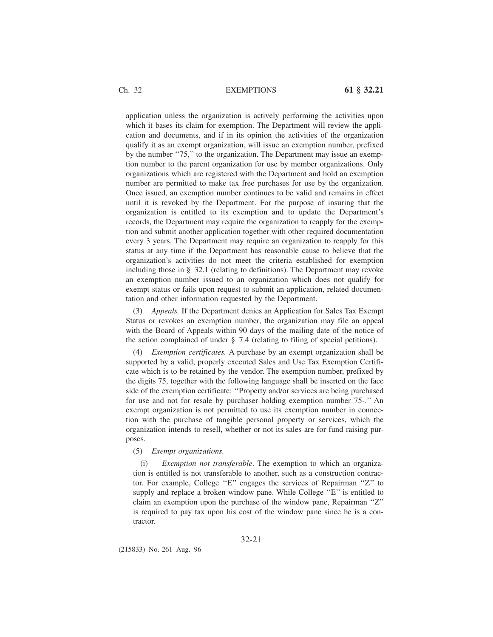application unless the organization is actively performing the activities upon which it bases its claim for exemption. The Department will review the application and documents, and if in its opinion the activities of the organization qualify it as an exempt organization, will issue an exemption number, prefixed by the number ''75,'' to the organization. The Department may issue an exemption number to the parent organization for use by member organizations. Only organizations which are registered with the Department and hold an exemption number are permitted to make tax free purchases for use by the organization. Once issued, an exemption number continues to be valid and remains in effect until it is revoked by the Department. For the purpose of insuring that the organization is entitled to its exemption and to update the Department's records, the Department may require the organization to reapply for the exemption and submit another application together with other required documentation every 3 years. The Department may require an organization to reapply for this status at any time if the Department has reasonable cause to believe that the organization's activities do not meet the criteria established for exemption including those in § 32.1 (relating to definitions). The Department may revoke an exemption number issued to an organization which does not qualify for exempt status or fails upon request to submit an application, related documentation and other information requested by the Department.

(3) *Appeals.* If the Department denies an Application for Sales Tax Exempt Status or revokes an exemption number, the organization may file an appeal with the Board of Appeals within 90 days of the mailing date of the notice of the action complained of under § 7.4 (relating to filing of special petitions).

(4) *Exemption certificates.* A purchase by an exempt organization shall be supported by a valid, properly executed Sales and Use Tax Exemption Certificate which is to be retained by the vendor. The exemption number, prefixed by the digits 75, together with the following language shall be inserted on the face side of the exemption certificate: ''Property and/or services are being purchased for use and not for resale by purchaser holding exemption number 75-.'' An exempt organization is not permitted to use its exemption number in connection with the purchase of tangible personal property or services, which the organization intends to resell, whether or not its sales are for fund raising purposes.

(5) *Exempt organizations.*

(i) *Exemption not transferable*. The exemption to which an organization is entitled is not transferable to another, such as a construction contractor. For example, College ''E'' engages the services of Repairman ''Z'' to supply and replace a broken window pane. While College ''E'' is entitled to claim an exemption upon the purchase of the window pane, Repairman ''Z'' is required to pay tax upon his cost of the window pane since he is a contractor.

## 32-21

(215833) No. 261 Aug. 96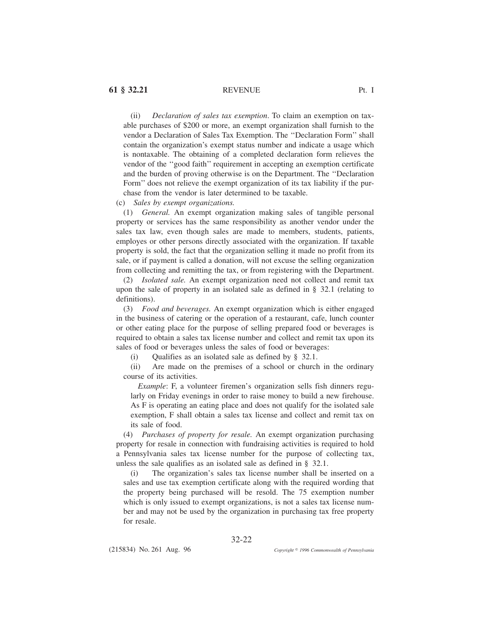(ii) *Declaration of sales tax exemption*. To claim an exemption on taxable purchases of \$200 or more, an exempt organization shall furnish to the vendor a Declaration of Sales Tax Exemption. The ''Declaration Form'' shall contain the organization's exempt status number and indicate a usage which is nontaxable. The obtaining of a completed declaration form relieves the vendor of the ''good faith'' requirement in accepting an exemption certificate and the burden of proving otherwise is on the Department. The ''Declaration Form'' does not relieve the exempt organization of its tax liability if the purchase from the vendor is later determined to be taxable.

## (c) *Sales by exempt organizations.*

(1) *General.* An exempt organization making sales of tangible personal property or services has the same responsibility as another vendor under the sales tax law, even though sales are made to members, students, patients, employes or other persons directly associated with the organization. If taxable property is sold, the fact that the organization selling it made no profit from its sale, or if payment is called a donation, will not excuse the selling organization from collecting and remitting the tax, or from registering with the Department.

(2) *Isolated sale.* An exempt organization need not collect and remit tax upon the sale of property in an isolated sale as defined in § 32.1 (relating to definitions).

(3) *Food and beverages.* An exempt organization which is either engaged in the business of catering or the operation of a restaurant, cafe, lunch counter or other eating place for the purpose of selling prepared food or beverages is required to obtain a sales tax license number and collect and remit tax upon its sales of food or beverages unless the sales of food or beverages:

(i) Qualifies as an isolated sale as defined by § 32.1.

(ii) Are made on the premises of a school or church in the ordinary course of its activities.

*Example*: F, a volunteer firemen's organization sells fish dinners regularly on Friday evenings in order to raise money to build a new firehouse. As F is operating an eating place and does not qualify for the isolated sale exemption, F shall obtain a sales tax license and collect and remit tax on its sale of food.

(4) *Purchases of property for resale.* An exempt organization purchasing property for resale in connection with fundraising activities is required to hold a Pennsylvania sales tax license number for the purpose of collecting tax, unless the sale qualifies as an isolated sale as defined in § 32.1.

(i) The organization's sales tax license number shall be inserted on a sales and use tax exemption certificate along with the required wording that the property being purchased will be resold. The 75 exemption number which is only issued to exempt organizations, is not a sales tax license number and may not be used by the organization in purchasing tax free property for resale.

32-22

(215834) No. 261 Aug. 96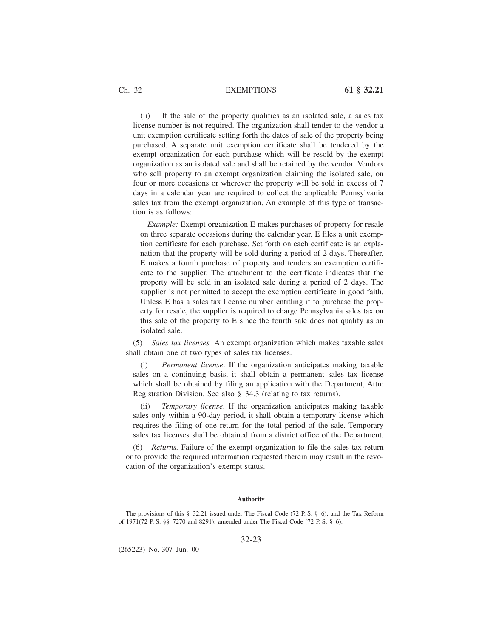(ii) If the sale of the property qualifies as an isolated sale, a sales tax license number is not required. The organization shall tender to the vendor a unit exemption certificate setting forth the dates of sale of the property being purchased. A separate unit exemption certificate shall be tendered by the exempt organization for each purchase which will be resold by the exempt organization as an isolated sale and shall be retained by the vendor. Vendors who sell property to an exempt organization claiming the isolated sale, on four or more occasions or wherever the property will be sold in excess of 7 days in a calendar year are required to collect the applicable Pennsylvania sales tax from the exempt organization. An example of this type of transaction is as follows:

*Example:* Exempt organization E makes purchases of property for resale on three separate occasions during the calendar year. E files a unit exemption certificate for each purchase. Set forth on each certificate is an explanation that the property will be sold during a period of 2 days. Thereafter, E makes a fourth purchase of property and tenders an exemption certificate to the supplier. The attachment to the certificate indicates that the property will be sold in an isolated sale during a period of 2 days. The supplier is not permitted to accept the exemption certificate in good faith. Unless E has a sales tax license number entitling it to purchase the property for resale, the supplier is required to charge Pennsylvania sales tax on this sale of the property to E since the fourth sale does not qualify as an isolated sale.

(5) *Sales tax licenses.* An exempt organization which makes taxable sales shall obtain one of two types of sales tax licenses.

(i) *Permanent license*. If the organization anticipates making taxable sales on a continuing basis, it shall obtain a permanent sales tax license which shall be obtained by filing an application with the Department, Attn: Registration Division. See also § 34.3 (relating to tax returns).

(ii) *Temporary license*. If the organization anticipates making taxable sales only within a 90-day period, it shall obtain a temporary license which requires the filing of one return for the total period of the sale. Temporary sales tax licenses shall be obtained from a district office of the Department.

(6) *Returns.* Failure of the exempt organization to file the sales tax return or to provide the required information requested therein may result in the revocation of the organization's exempt status.

## **Authority**

The provisions of this § 32.21 issued under The Fiscal Code (72 P. S. § 6); and the Tax Reform of 1971(72 P. S. §§ 7270 and 8291); amended under The Fiscal Code (72 P. S. § 6).

32-23

(265223) No. 307 Jun. 00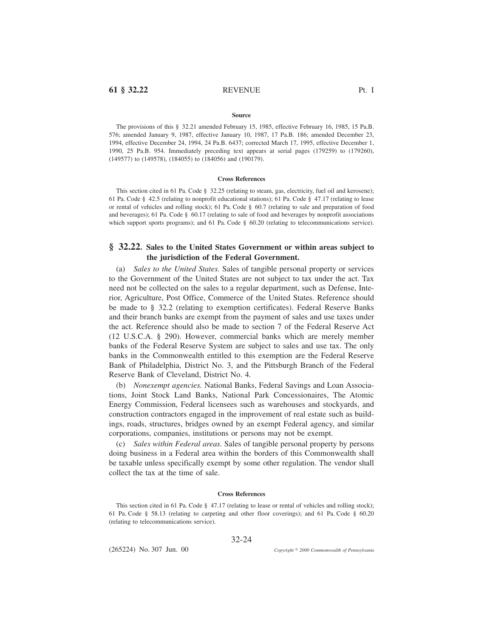#### **Source**

The provisions of this § 32.21 amended February 15, 1985, effective February 16, 1985, 15 Pa.B. 576; amended January 9, 1987, effective January 10, 1987, 17 Pa.B. 186; amended December 23, 1994, effective December 24, 1994, 24 Pa.B. 6437; corrected March 17, 1995, effective December 1, 1990, 25 Pa.B. 954. Immediately preceding text appears at serial pages (179259) to (179260), (149577) to (149578), (184055) to (184056) and (190179).

#### **Cross References**

This section cited in 61 Pa. Code § 32.25 (relating to steam, gas, electricity, fuel oil and kerosene); 61 Pa. Code § 42.5 (relating to nonprofit educational stations); 61 Pa. Code § 47.17 (relating to lease or rental of vehicles and rolling stock); 61 Pa. Code § 60.7 (relating to sale and preparation of food and beverages); 61 Pa. Code § 60.17 (relating to sale of food and beverages by nonprofit associations which support sports programs); and 61 Pa. Code § 60.20 (relating to telecommunications service).

## **§ 32.22. Sales to the United States Government or within areas subject to the jurisdiction of the Federal Government.**

(a) *Sales to the United States.* Sales of tangible personal property or services to the Government of the United States are not subject to tax under the act. Tax need not be collected on the sales to a regular department, such as Defense, Interior, Agriculture, Post Office, Commerce of the United States. Reference should be made to § 32.2 (relating to exemption certificates). Federal Reserve Banks and their branch banks are exempt from the payment of sales and use taxes under the act. Reference should also be made to section 7 of the Federal Reserve Act (12 U.S.C.A. § 290). However, commercial banks which are merely member banks of the Federal Reserve System are subject to sales and use tax. The only banks in the Commonwealth entitled to this exemption are the Federal Reserve Bank of Philadelphia, District No. 3, and the Pittsburgh Branch of the Federal Reserve Bank of Cleveland, District No. 4.

(b) *Nonexempt agencies.* National Banks, Federal Savings and Loan Associations, Joint Stock Land Banks, National Park Concessionaires, The Atomic Energy Commission, Federal licensees such as warehouses and stockyards, and construction contractors engaged in the improvement of real estate such as buildings, roads, structures, bridges owned by an exempt Federal agency, and similar corporations, companies, institutions or persons may not be exempt.

(c) *Sales within Federal areas.* Sales of tangible personal property by persons doing business in a Federal area within the borders of this Commonwealth shall be taxable unless specifically exempt by some other regulation. The vendor shall collect the tax at the time of sale.

#### **Cross References**

This section cited in 61 Pa. Code § 47.17 (relating to lease or rental of vehicles and rolling stock); 61 Pa. Code § 58.13 (relating to carpeting and other floor coverings); and 61 Pa. Code § 60.20 (relating to telecommunications service).

32-24

(265224) No. 307 Jun. 00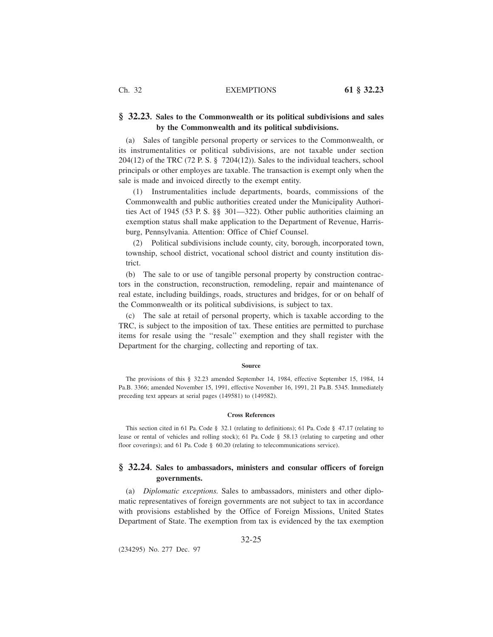## **§ 32.23. Sales to the Commonwealth or its political subdivisions and sales by the Commonwealth and its political subdivisions.**

(a) Sales of tangible personal property or services to the Commonwealth, or its instrumentalities or political subdivisions, are not taxable under section  $204(12)$  of the TRC (72 P. S. § 7204 $(12)$ ). Sales to the individual teachers, school principals or other employes are taxable. The transaction is exempt only when the sale is made and invoiced directly to the exempt entity.

(1) Instrumentalities include departments, boards, commissions of the Commonwealth and public authorities created under the Municipality Authorities Act of 1945 (53 P. S. §§ 301—322). Other public authorities claiming an exemption status shall make application to the Department of Revenue, Harrisburg, Pennsylvania. Attention: Office of Chief Counsel.

(2) Political subdivisions include county, city, borough, incorporated town, township, school district, vocational school district and county institution district.

(b) The sale to or use of tangible personal property by construction contractors in the construction, reconstruction, remodeling, repair and maintenance of real estate, including buildings, roads, structures and bridges, for or on behalf of the Commonwealth or its political subdivisions, is subject to tax.

(c) The sale at retail of personal property, which is taxable according to the TRC, is subject to the imposition of tax. These entities are permitted to purchase items for resale using the ''resale'' exemption and they shall register with the Department for the charging, collecting and reporting of tax.

## **Source**

The provisions of this § 32.23 amended September 14, 1984, effective September 15, 1984, 14 Pa.B. 3366; amended November 15, 1991, effective November 16, 1991, 21 Pa.B. 5345. Immediately preceding text appears at serial pages (149581) to (149582).

## **Cross References**

This section cited in 61 Pa. Code § 32.1 (relating to definitions); 61 Pa. Code § 47.17 (relating to lease or rental of vehicles and rolling stock); 61 Pa. Code § 58.13 (relating to carpeting and other floor coverings); and 61 Pa. Code § 60.20 (relating to telecommunications service).

## **§ 32.24. Sales to ambassadors, ministers and consular officers of foreign governments.**

(a) *Diplomatic exceptions.* Sales to ambassadors, ministers and other diplomatic representatives of foreign governments are not subject to tax in accordance with provisions established by the Office of Foreign Missions, United States Department of State. The exemption from tax is evidenced by the tax exemption

32-25

(234295) No. 277 Dec. 97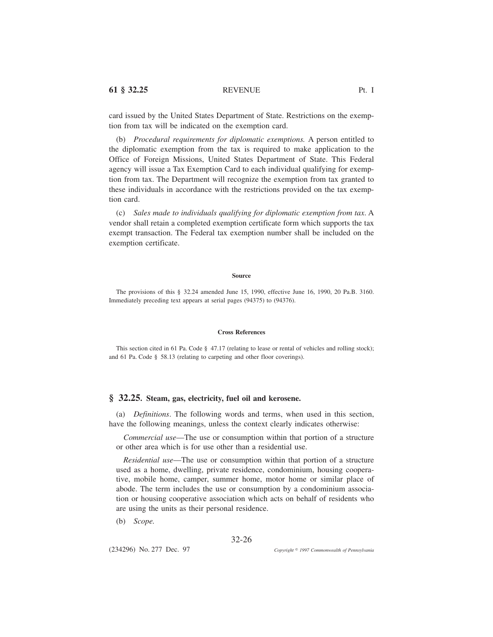card issued by the United States Department of State. Restrictions on the exemption from tax will be indicated on the exemption card.

(b) *Procedural requirements for diplomatic exemptions.* A person entitled to the diplomatic exemption from the tax is required to make application to the Office of Foreign Missions, United States Department of State. This Federal agency will issue a Tax Exemption Card to each individual qualifying for exemption from tax. The Department will recognize the exemption from tax granted to these individuals in accordance with the restrictions provided on the tax exemption card.

(c) *Sales made to individuals qualifying for diplomatic exemption from tax*. A vendor shall retain a completed exemption certificate form which supports the tax exempt transaction. The Federal tax exemption number shall be included on the exemption certificate.

#### **Source**

The provisions of this § 32.24 amended June 15, 1990, effective June 16, 1990, 20 Pa.B. 3160. Immediately preceding text appears at serial pages (94375) to (94376).

## **Cross References**

This section cited in 61 Pa. Code § 47.17 (relating to lease or rental of vehicles and rolling stock); and 61 Pa. Code § 58.13 (relating to carpeting and other floor coverings).

## **§ 32.25. Steam, gas, electricity, fuel oil and kerosene.**

(a) *Definitions*. The following words and terms, when used in this section, have the following meanings, unless the context clearly indicates otherwise:

*Commercial use*—The use or consumption within that portion of a structure or other area which is for use other than a residential use.

*Residential use*—The use or consumption within that portion of a structure used as a home, dwelling, private residence, condominium, housing cooperative, mobile home, camper, summer home, motor home or similar place of abode. The term includes the use or consumption by a condominium association or housing cooperative association which acts on behalf of residents who are using the units as their personal residence.

(b) *Scope.*

## 32-26

(234296) No. 277 Dec. 97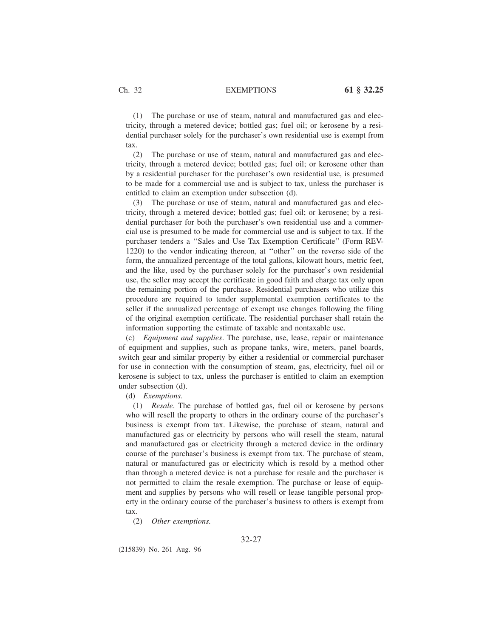(1) The purchase or use of steam, natural and manufactured gas and electricity, through a metered device; bottled gas; fuel oil; or kerosene by a residential purchaser solely for the purchaser's own residential use is exempt from tax.

(2) The purchase or use of steam, natural and manufactured gas and electricity, through a metered device; bottled gas; fuel oil; or kerosene other than by a residential purchaser for the purchaser's own residential use, is presumed to be made for a commercial use and is subject to tax, unless the purchaser is entitled to claim an exemption under subsection (d).

(3) The purchase or use of steam, natural and manufactured gas and electricity, through a metered device; bottled gas; fuel oil; or kerosene; by a residential purchaser for both the purchaser's own residential use and a commercial use is presumed to be made for commercial use and is subject to tax. If the purchaser tenders a ''Sales and Use Tax Exemption Certificate'' (Form REV-1220) to the vendor indicating thereon, at ''other'' on the reverse side of the form, the annualized percentage of the total gallons, kilowatt hours, metric feet, and the like, used by the purchaser solely for the purchaser's own residential use, the seller may accept the certificate in good faith and charge tax only upon the remaining portion of the purchase. Residential purchasers who utilize this procedure are required to tender supplemental exemption certificates to the seller if the annualized percentage of exempt use changes following the filing of the original exemption certificate. The residential purchaser shall retain the information supporting the estimate of taxable and nontaxable use.

(c) *Equipment and supplies*. The purchase, use, lease, repair or maintenance of equipment and supplies, such as propane tanks, wire, meters, panel boards, switch gear and similar property by either a residential or commercial purchaser for use in connection with the consumption of steam, gas, electricity, fuel oil or kerosene is subject to tax, unless the purchaser is entitled to claim an exemption under subsection (d).

(d) *Exemptions.*

(1) *Resale*. The purchase of bottled gas, fuel oil or kerosene by persons who will resell the property to others in the ordinary course of the purchaser's business is exempt from tax. Likewise, the purchase of steam, natural and manufactured gas or electricity by persons who will resell the steam, natural and manufactured gas or electricity through a metered device in the ordinary course of the purchaser's business is exempt from tax. The purchase of steam, natural or manufactured gas or electricity which is resold by a method other than through a metered device is not a purchase for resale and the purchaser is not permitted to claim the resale exemption. The purchase or lease of equipment and supplies by persons who will resell or lease tangible personal property in the ordinary course of the purchaser's business to others is exempt from tax.

(2) *Other exemptions.*

32-27

(215839) No. 261 Aug. 96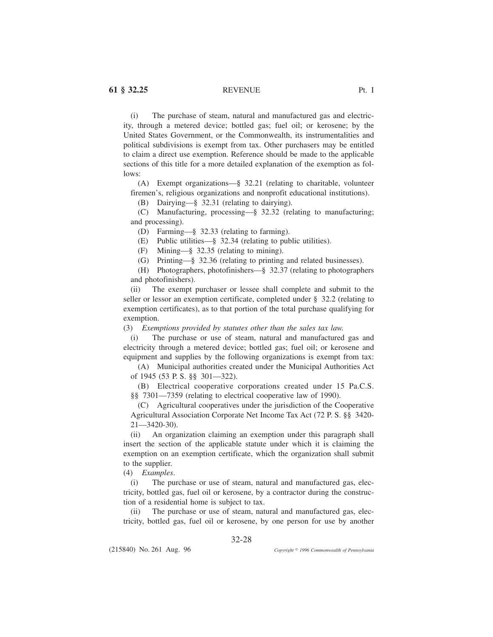(i) The purchase of steam, natural and manufactured gas and electricity, through a metered device; bottled gas; fuel oil; or kerosene; by the United States Government, or the Commonwealth, its instrumentalities and political subdivisions is exempt from tax. Other purchasers may be entitled to claim a direct use exemption. Reference should be made to the applicable sections of this title for a more detailed explanation of the exemption as follows:

(A) Exempt organizations—§ 32.21 (relating to charitable, volunteer firemen's, religious organizations and nonprofit educational institutions).

(B) Dairying—§ 32.31 (relating to dairying).

(C) Manufacturing, processing—§ 32.32 (relating to manufacturing; and processing).

(D) Farming—§ 32.33 (relating to farming).

(E) Public utilities—§ 32.34 (relating to public utilities).

(F) Mining—§ 32.35 (relating to mining).

(G) Printing—§ 32.36 (relating to printing and related businesses).

(H) Photographers, photofinishers—§ 32.37 (relating to photographers and photofinishers).

(ii) The exempt purchaser or lessee shall complete and submit to the seller or lessor an exemption certificate, completed under § 32.2 (relating to exemption certificates), as to that portion of the total purchase qualifying for exemption.

(3) *Exemptions provided by statutes other than the sales tax law.*

(i) The purchase or use of steam, natural and manufactured gas and electricity through a metered device; bottled gas; fuel oil; or kerosene and equipment and supplies by the following organizations is exempt from tax:

(A) Municipal authorities created under the Municipal Authorities Act of 1945 (53 P. S. §§ 301—322).

(B) Electrical cooperative corporations created under 15 Pa.C.S. §§ 7301—7359 (relating to electrical cooperative law of 1990).

(C) Agricultural cooperatives under the jurisdiction of the Cooperative Agricultural Association Corporate Net Income Tax Act (72 P. S. §§ 3420- 21—3420-30).

(ii) An organization claiming an exemption under this paragraph shall insert the section of the applicable statute under which it is claiming the exemption on an exemption certificate, which the organization shall submit to the supplier.

(4) *Examples*.

(i) The purchase or use of steam, natural and manufactured gas, electricity, bottled gas, fuel oil or kerosene, by a contractor during the construction of a residential home is subject to tax.

(ii) The purchase or use of steam, natural and manufactured gas, electricity, bottled gas, fuel oil or kerosene, by one person for use by another

32-28

(215840) No. 261 Aug. 96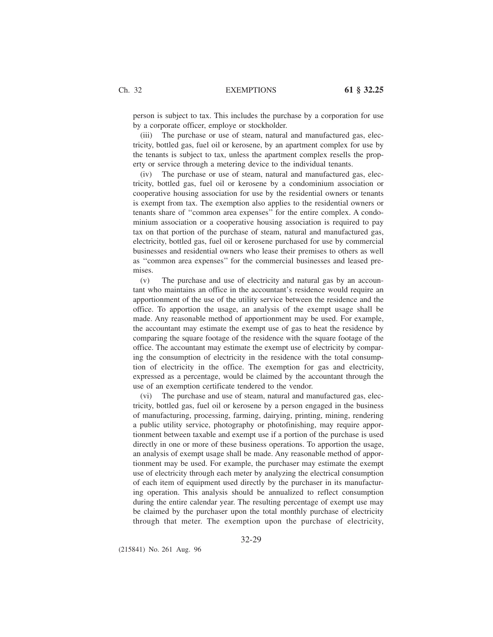person is subject to tax. This includes the purchase by a corporation for use by a corporate officer, employe or stockholder.

(iii) The purchase or use of steam, natural and manufactured gas, electricity, bottled gas, fuel oil or kerosene, by an apartment complex for use by the tenants is subject to tax, unless the apartment complex resells the property or service through a metering device to the individual tenants.

(iv) The purchase or use of steam, natural and manufactured gas, electricity, bottled gas, fuel oil or kerosene by a condominium association or cooperative housing association for use by the residential owners or tenants is exempt from tax. The exemption also applies to the residential owners or tenants share of ''common area expenses'' for the entire complex. A condominium association or a cooperative housing association is required to pay tax on that portion of the purchase of steam, natural and manufactured gas, electricity, bottled gas, fuel oil or kerosene purchased for use by commercial businesses and residential owners who lease their premises to others as well as ''common area expenses'' for the commercial businesses and leased premises.

(v) The purchase and use of electricity and natural gas by an accountant who maintains an office in the accountant's residence would require an apportionment of the use of the utility service between the residence and the office. To apportion the usage, an analysis of the exempt usage shall be made. Any reasonable method of apportionment may be used. For example, the accountant may estimate the exempt use of gas to heat the residence by comparing the square footage of the residence with the square footage of the office. The accountant may estimate the exempt use of electricity by comparing the consumption of electricity in the residence with the total consumption of electricity in the office. The exemption for gas and electricity, expressed as a percentage, would be claimed by the accountant through the use of an exemption certificate tendered to the vendor.

(vi) The purchase and use of steam, natural and manufactured gas, electricity, bottled gas, fuel oil or kerosene by a person engaged in the business of manufacturing, processing, farming, dairying, printing, mining, rendering a public utility service, photography or photofinishing, may require apportionment between taxable and exempt use if a portion of the purchase is used directly in one or more of these business operations. To apportion the usage, an analysis of exempt usage shall be made. Any reasonable method of apportionment may be used. For example, the purchaser may estimate the exempt use of electricity through each meter by analyzing the electrical consumption of each item of equipment used directly by the purchaser in its manufacturing operation. This analysis should be annualized to reflect consumption during the entire calendar year. The resulting percentage of exempt use may be claimed by the purchaser upon the total monthly purchase of electricity through that meter. The exemption upon the purchase of electricity,

32-29

(215841) No. 261 Aug. 96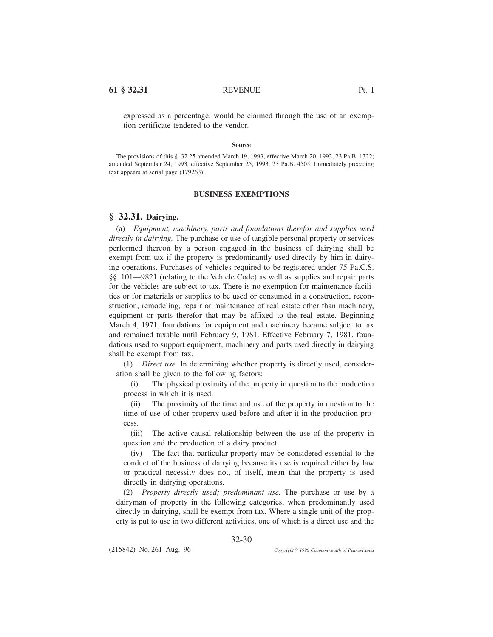## **61 § 32.31** REVENUE Pt. I

expressed as a percentage, would be claimed through the use of an exemption certificate tendered to the vendor.

## **Source**

The provisions of this § 32.25 amended March 19, 1993, effective March 20, 1993, 23 Pa.B. 1322; amended September 24, 1993, effective September 25, 1993, 23 Pa.B. 4505. Immediately preceding text appears at serial page (179263).

## **BUSINESS EXEMPTIONS**

## **§ 32.31. Dairying.**

(a) *Equipment, machinery, parts and foundations therefor and supplies used directly in dairying.* The purchase or use of tangible personal property or services performed thereon by a person engaged in the business of dairying shall be exempt from tax if the property is predominantly used directly by him in dairying operations. Purchases of vehicles required to be registered under 75 Pa.C.S. §§ 101—9821 (relating to the Vehicle Code) as well as supplies and repair parts for the vehicles are subject to tax. There is no exemption for maintenance facilities or for materials or supplies to be used or consumed in a construction, reconstruction, remodeling, repair or maintenance of real estate other than machinery, equipment or parts therefor that may be affixed to the real estate. Beginning March 4, 1971, foundations for equipment and machinery became subject to tax and remained taxable until February 9, 1981. Effective February 7, 1981, foundations used to support equipment, machinery and parts used directly in dairying shall be exempt from tax.

(1) *Direct use.* In determining whether property is directly used, consideration shall be given to the following factors:

(i) The physical proximity of the property in question to the production process in which it is used.

(ii) The proximity of the time and use of the property in question to the time of use of other property used before and after it in the production process.

(iii) The active causal relationship between the use of the property in question and the production of a dairy product.

(iv) The fact that particular property may be considered essential to the conduct of the business of dairying because its use is required either by law or practical necessity does not, of itself, mean that the property is used directly in dairying operations.

(2) *Property directly used; predominant use.* The purchase or use by a dairyman of property in the following categories, when predominantly used directly in dairying, shall be exempt from tax. Where a single unit of the property is put to use in two different activities, one of which is a direct use and the

32-30

(215842) No. 261 Aug. 96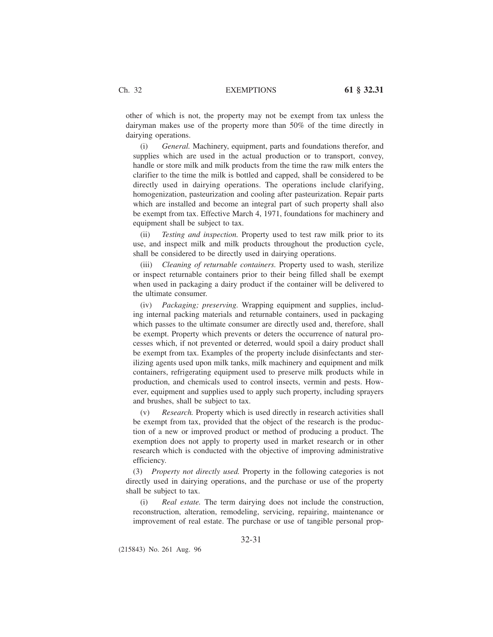other of which is not, the property may not be exempt from tax unless the dairyman makes use of the property more than 50% of the time directly in dairying operations.

(i) *General.* Machinery, equipment, parts and foundations therefor, and supplies which are used in the actual production or to transport, convey, handle or store milk and milk products from the time the raw milk enters the clarifier to the time the milk is bottled and capped, shall be considered to be directly used in dairying operations. The operations include clarifying, homogenization, pasteurization and cooling after pasteurization. Repair parts which are installed and become an integral part of such property shall also be exempt from tax. Effective March 4, 1971, foundations for machinery and equipment shall be subject to tax.

(ii) *Testing and inspection.* Property used to test raw milk prior to its use, and inspect milk and milk products throughout the production cycle, shall be considered to be directly used in dairying operations.

(iii) *Cleaning of returnable containers.* Property used to wash, sterilize or inspect returnable containers prior to their being filled shall be exempt when used in packaging a dairy product if the container will be delivered to the ultimate consumer.

(iv) *Packaging; preserving.* Wrapping equipment and supplies, including internal packing materials and returnable containers, used in packaging which passes to the ultimate consumer are directly used and, therefore, shall be exempt. Property which prevents or deters the occurrence of natural processes which, if not prevented or deterred, would spoil a dairy product shall be exempt from tax. Examples of the property include disinfectants and sterilizing agents used upon milk tanks, milk machinery and equipment and milk containers, refrigerating equipment used to preserve milk products while in production, and chemicals used to control insects, vermin and pests. However, equipment and supplies used to apply such property, including sprayers and brushes, shall be subject to tax.

(v) *Research.* Property which is used directly in research activities shall be exempt from tax, provided that the object of the research is the production of a new or improved product or method of producing a product. The exemption does not apply to property used in market research or in other research which is conducted with the objective of improving administrative efficiency.

(3) *Property not directly used.* Property in the following categories is not directly used in dairying operations, and the purchase or use of the property shall be subject to tax.

(i) *Real estate.* The term dairying does not include the construction, reconstruction, alteration, remodeling, servicing, repairing, maintenance or improvement of real estate. The purchase or use of tangible personal prop-

(215843) No. 261 Aug. 96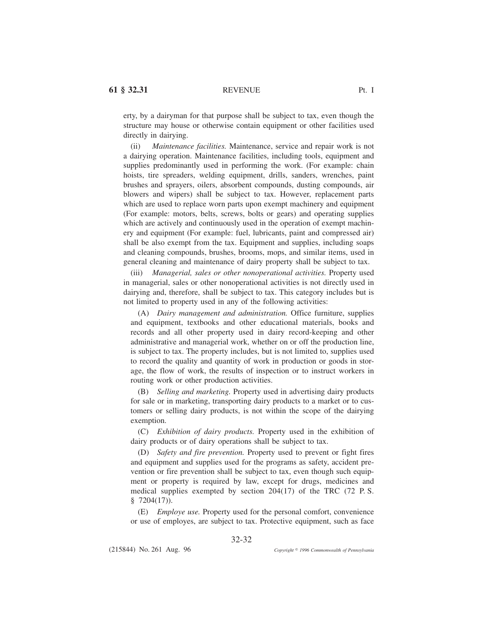erty, by a dairyman for that purpose shall be subject to tax, even though the structure may house or otherwise contain equipment or other facilities used directly in dairying.

(ii) *Maintenance facilities.* Maintenance, service and repair work is not a dairying operation. Maintenance facilities, including tools, equipment and supplies predominantly used in performing the work. (For example: chain hoists, tire spreaders, welding equipment, drills, sanders, wrenches, paint brushes and sprayers, oilers, absorbent compounds, dusting compounds, air blowers and wipers) shall be subject to tax. However, replacement parts which are used to replace worn parts upon exempt machinery and equipment (For example: motors, belts, screws, bolts or gears) and operating supplies which are actively and continuously used in the operation of exempt machinery and equipment (For example: fuel, lubricants, paint and compressed air) shall be also exempt from the tax. Equipment and supplies, including soaps and cleaning compounds, brushes, brooms, mops, and similar items, used in general cleaning and maintenance of dairy property shall be subject to tax.

(iii) *Managerial, sales or other nonoperational activities.* Property used in managerial, sales or other nonoperational activities is not directly used in dairying and, therefore, shall be subject to tax. This category includes but is not limited to property used in any of the following activities:

(A) *Dairy management and administration.* Office furniture, supplies and equipment, textbooks and other educational materials, books and records and all other property used in dairy record-keeping and other administrative and managerial work, whether on or off the production line, is subject to tax. The property includes, but is not limited to, supplies used to record the quality and quantity of work in production or goods in storage, the flow of work, the results of inspection or to instruct workers in routing work or other production activities.

(B) *Selling and marketing.* Property used in advertising dairy products for sale or in marketing, transporting dairy products to a market or to customers or selling dairy products, is not within the scope of the dairying exemption.

(C) *Exhibition of dairy products.* Property used in the exhibition of dairy products or of dairy operations shall be subject to tax.

(D) *Safety and fire prevention.* Property used to prevent or fight fires and equipment and supplies used for the programs as safety, accident prevention or fire prevention shall be subject to tax, even though such equipment or property is required by law, except for drugs, medicines and medical supplies exempted by section 204(17) of the TRC (72 P. S. § 7204(17)).

(E) *Employe use.* Property used for the personal comfort, convenience or use of employes, are subject to tax. Protective equipment, such as face

32-32

(215844) No. 261 Aug. 96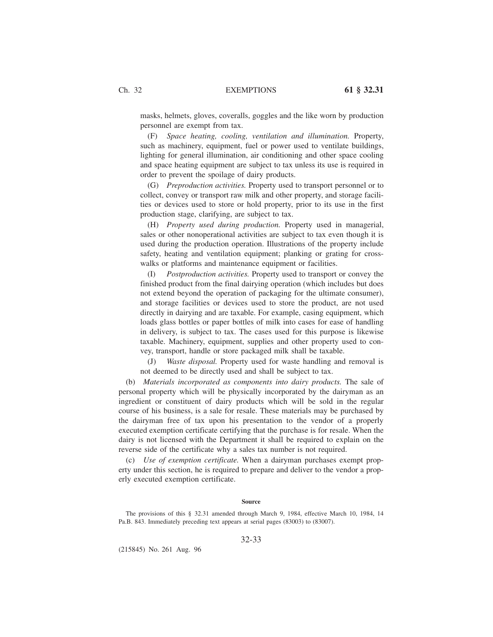masks, helmets, gloves, coveralls, goggles and the like worn by production personnel are exempt from tax.

(F) *Space heating, cooling, ventilation and illumination.* Property, such as machinery, equipment, fuel or power used to ventilate buildings, lighting for general illumination, air conditioning and other space cooling and space heating equipment are subject to tax unless its use is required in order to prevent the spoilage of dairy products.

(G) *Preproduction activities.* Property used to transport personnel or to collect, convey or transport raw milk and other property, and storage facilities or devices used to store or hold property, prior to its use in the first production stage, clarifying, are subject to tax.

(H) *Property used during production.* Property used in managerial, sales or other nonoperational activities are subject to tax even though it is used during the production operation. Illustrations of the property include safety, heating and ventilation equipment; planking or grating for crosswalks or platforms and maintenance equipment or facilities.

(I) *Postproduction activities.* Property used to transport or convey the finished product from the final dairying operation (which includes but does not extend beyond the operation of packaging for the ultimate consumer), and storage facilities or devices used to store the product, are not used directly in dairying and are taxable. For example, casing equipment, which loads glass bottles or paper bottles of milk into cases for ease of handling in delivery, is subject to tax. The cases used for this purpose is likewise taxable. Machinery, equipment, supplies and other property used to convey, transport, handle or store packaged milk shall be taxable.

(J) *Waste disposal.* Property used for waste handling and removal is not deemed to be directly used and shall be subject to tax.

(b) *Materials incorporated as components into dairy products.* The sale of personal property which will be physically incorporated by the dairyman as an ingredient or constituent of dairy products which will be sold in the regular course of his business, is a sale for resale. These materials may be purchased by the dairyman free of tax upon his presentation to the vendor of a properly executed exemption certificate certifying that the purchase is for resale. When the dairy is not licensed with the Department it shall be required to explain on the reverse side of the certificate why a sales tax number is not required.

(c) *Use of exemption certificate.* When a dairyman purchases exempt property under this section, he is required to prepare and deliver to the vendor a properly executed exemption certificate.

## **Source**

The provisions of this § 32.31 amended through March 9, 1984, effective March 10, 1984, 14 Pa.B. 843. Immediately preceding text appears at serial pages (83003) to (83007).

32-33

(215845) No. 261 Aug. 96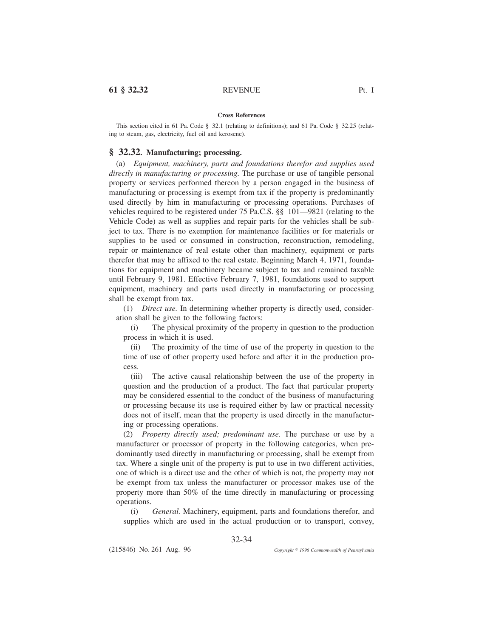## **Cross References**

This section cited in 61 Pa. Code § 32.1 (relating to definitions); and 61 Pa. Code § 32.25 (relating to steam, gas, electricity, fuel oil and kerosene).

## **§ 32.32. Manufacturing; processing.**

(a) *Equipment, machinery, parts and foundations therefor and supplies used directly in manufacturing or processing.* The purchase or use of tangible personal property or services performed thereon by a person engaged in the business of manufacturing or processing is exempt from tax if the property is predominantly used directly by him in manufacturing or processing operations. Purchases of vehicles required to be registered under 75 Pa.C.S. §§ 101—9821 (relating to the Vehicle Code) as well as supplies and repair parts for the vehicles shall be subject to tax. There is no exemption for maintenance facilities or for materials or supplies to be used or consumed in construction, reconstruction, remodeling, repair or maintenance of real estate other than machinery, equipment or parts therefor that may be affixed to the real estate. Beginning March 4, 1971, foundations for equipment and machinery became subject to tax and remained taxable until February 9, 1981. Effective February 7, 1981, foundations used to support equipment, machinery and parts used directly in manufacturing or processing shall be exempt from tax.

(1) *Direct use.* In determining whether property is directly used, consideration shall be given to the following factors:

(i) The physical proximity of the property in question to the production process in which it is used.

(ii) The proximity of the time of use of the property in question to the time of use of other property used before and after it in the production process.

(iii) The active causal relationship between the use of the property in question and the production of a product. The fact that particular property may be considered essential to the conduct of the business of manufacturing or processing because its use is required either by law or practical necessity does not of itself, mean that the property is used directly in the manufacturing or processing operations.

(2) *Property directly used; predominant use.* The purchase or use by a manufacturer or processor of property in the following categories, when predominantly used directly in manufacturing or processing, shall be exempt from tax. Where a single unit of the property is put to use in two different activities, one of which is a direct use and the other of which is not, the property may not be exempt from tax unless the manufacturer or processor makes use of the property more than 50% of the time directly in manufacturing or processing operations.

(i) *General.* Machinery, equipment, parts and foundations therefor, and supplies which are used in the actual production or to transport, convey,

32-34

(215846) No. 261 Aug. 96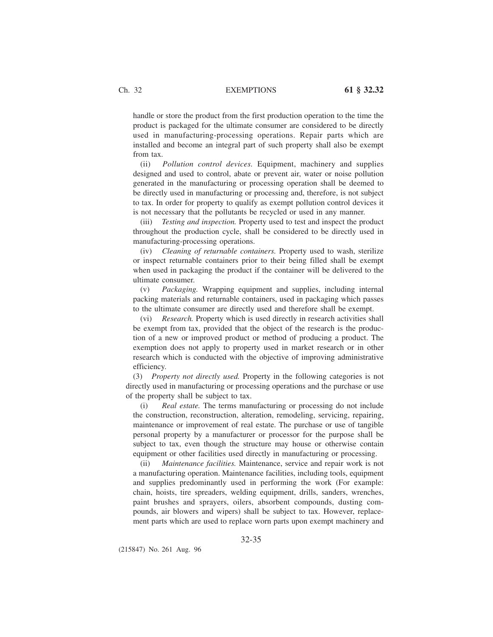handle or store the product from the first production operation to the time the product is packaged for the ultimate consumer are considered to be directly used in manufacturing-processing operations. Repair parts which are installed and become an integral part of such property shall also be exempt from tax.

(ii) *Pollution control devices.* Equipment, machinery and supplies designed and used to control, abate or prevent air, water or noise pollution generated in the manufacturing or processing operation shall be deemed to be directly used in manufacturing or processing and, therefore, is not subject to tax. In order for property to qualify as exempt pollution control devices it is not necessary that the pollutants be recycled or used in any manner.

(iii) *Testing and inspection.* Property used to test and inspect the product throughout the production cycle, shall be considered to be directly used in manufacturing-processing operations.

(iv) *Cleaning of returnable containers.* Property used to wash, sterilize or inspect returnable containers prior to their being filled shall be exempt when used in packaging the product if the container will be delivered to the ultimate consumer.

(v) *Packaging.* Wrapping equipment and supplies, including internal packing materials and returnable containers, used in packaging which passes to the ultimate consumer are directly used and therefore shall be exempt.

(vi) *Research.* Property which is used directly in research activities shall be exempt from tax, provided that the object of the research is the production of a new or improved product or method of producing a product. The exemption does not apply to property used in market research or in other research which is conducted with the objective of improving administrative efficiency.

(3) *Property not directly used.* Property in the following categories is not directly used in manufacturing or processing operations and the purchase or use of the property shall be subject to tax.

(i) *Real estate.* The terms manufacturing or processing do not include the construction, reconstruction, alteration, remodeling, servicing, repairing, maintenance or improvement of real estate. The purchase or use of tangible personal property by a manufacturer or processor for the purpose shall be subject to tax, even though the structure may house or otherwise contain equipment or other facilities used directly in manufacturing or processing.

(ii) *Maintenance facilities.* Maintenance, service and repair work is not a manufacturing operation. Maintenance facilities, including tools, equipment and supplies predominantly used in performing the work (For example: chain, hoists, tire spreaders, welding equipment, drills, sanders, wrenches, paint brushes and sprayers, oilers, absorbent compounds, dusting compounds, air blowers and wipers) shall be subject to tax. However, replacement parts which are used to replace worn parts upon exempt machinery and

32-35

(215847) No. 261 Aug. 96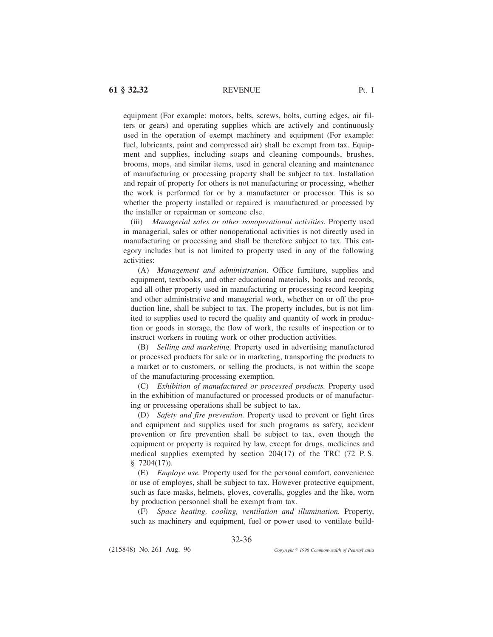equipment (For example: motors, belts, screws, bolts, cutting edges, air filters or gears) and operating supplies which are actively and continuously used in the operation of exempt machinery and equipment (For example: fuel, lubricants, paint and compressed air) shall be exempt from tax. Equipment and supplies, including soaps and cleaning compounds, brushes, brooms, mops, and similar items, used in general cleaning and maintenance of manufacturing or processing property shall be subject to tax. Installation and repair of property for others is not manufacturing or processing, whether the work is performed for or by a manufacturer or processor. This is so whether the property installed or repaired is manufactured or processed by the installer or repairman or someone else.

(iii) *Managerial sales or other nonoperational activities.* Property used in managerial, sales or other nonoperational activities is not directly used in manufacturing or processing and shall be therefore subject to tax. This category includes but is not limited to property used in any of the following activities:

(A) *Management and administration.* Office furniture, supplies and equipment, textbooks, and other educational materials, books and records, and all other property used in manufacturing or processing record keeping and other administrative and managerial work, whether on or off the production line, shall be subject to tax. The property includes, but is not limited to supplies used to record the quality and quantity of work in production or goods in storage, the flow of work, the results of inspection or to instruct workers in routing work or other production activities.

(B) *Selling and marketing.* Property used in advertising manufactured or processed products for sale or in marketing, transporting the products to a market or to customers, or selling the products, is not within the scope of the manufacturing-processing exemption.

(C) *Exhibition of manufactured or processed products.* Property used in the exhibition of manufactured or processed products or of manufacturing or processing operations shall be subject to tax.

(D) *Safety and fire prevention.* Property used to prevent or fight fires and equipment and supplies used for such programs as safety, accident prevention or fire prevention shall be subject to tax, even though the equipment or property is required by law, except for drugs, medicines and medical supplies exempted by section 204(17) of the TRC (72 P. S. § 7204(17)).

(E) *Employe use.* Property used for the personal comfort, convenience or use of employes, shall be subject to tax. However protective equipment, such as face masks, helmets, gloves, coveralls, goggles and the like, worn by production personnel shall be exempt from tax.

(F) *Space heating, cooling, ventilation and illumination.* Property, such as machinery and equipment, fuel or power used to ventilate build-

32-36

(215848) No. 261 Aug. 96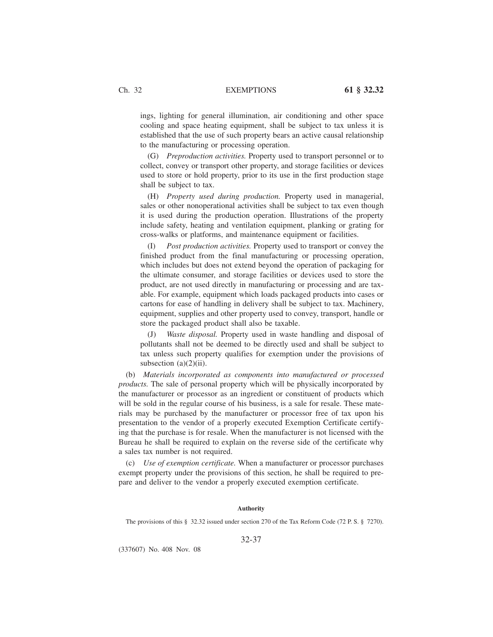ings, lighting for general illumination, air conditioning and other space cooling and space heating equipment, shall be subject to tax unless it is established that the use of such property bears an active causal relationship to the manufacturing or processing operation.

(G) *Preproduction activities.* Property used to transport personnel or to collect, convey or transport other property, and storage facilities or devices used to store or hold property, prior to its use in the first production stage shall be subject to tax.

(H) *Property used during production.* Property used in managerial, sales or other nonoperational activities shall be subject to tax even though it is used during the production operation. Illustrations of the property include safety, heating and ventilation equipment, planking or grating for cross-walks or platforms, and maintenance equipment or facilities.

(I) *Post production activities.* Property used to transport or convey the finished product from the final manufacturing or processing operation, which includes but does not extend beyond the operation of packaging for the ultimate consumer, and storage facilities or devices used to store the product, are not used directly in manufacturing or processing and are taxable. For example, equipment which loads packaged products into cases or cartons for ease of handling in delivery shall be subject to tax. Machinery, equipment, supplies and other property used to convey, transport, handle or store the packaged product shall also be taxable.

(J) *Waste disposal.* Property used in waste handling and disposal of pollutants shall not be deemed to be directly used and shall be subject to tax unless such property qualifies for exemption under the provisions of subsection  $(a)(2)(ii)$ .

(b) *Materials incorporated as components into manufactured or processed products.* The sale of personal property which will be physically incorporated by the manufacturer or processor as an ingredient or constituent of products which will be sold in the regular course of his business, is a sale for resale. These materials may be purchased by the manufacturer or processor free of tax upon his presentation to the vendor of a properly executed Exemption Certificate certifying that the purchase is for resale. When the manufacturer is not licensed with the Bureau he shall be required to explain on the reverse side of the certificate why a sales tax number is not required.

(c) *Use of exemption certificate.* When a manufacturer or processor purchases exempt property under the provisions of this section, he shall be required to prepare and deliver to the vendor a properly executed exemption certificate.

#### **Authority**

The provisions of this § 32.32 issued under section 270 of the Tax Reform Code (72 P. S. § 7270).

32-37

(337607) No. 408 Nov. 08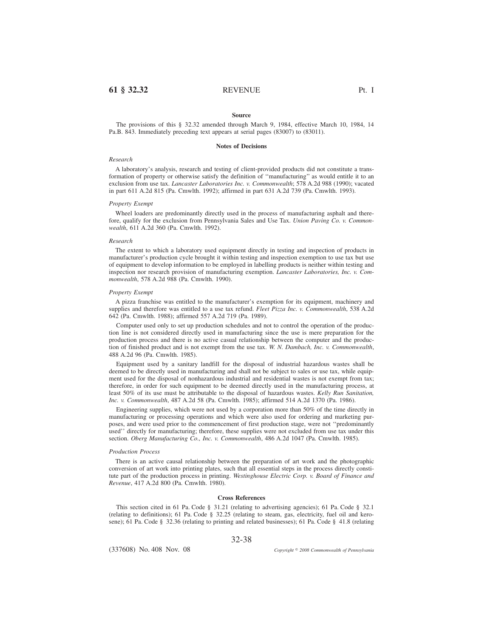## **61 § 32.32** REVENUE Pt. I

#### **Source**

The provisions of this § 32.32 amended through March 9, 1984, effective March 10, 1984, 14 Pa.B. 843. Immediately preceding text appears at serial pages (83007) to (83011).

## **Notes of Decisions**

#### *Research*

A laboratory's analysis, research and testing of client-provided products did not constitute a transformation of property or otherwise satisfy the definition of ''manufacturing'' as would entitle it to an exclusion from use tax. *Lancaster Laboratories Inc. v. Commonwealth*; 578 A.2d 988 (1990); vacated in part 611 A.2d 815 (Pa. Cmwlth. 1992); affirmed in part 631 A.2d 739 (Pa. Cmwlth. 1993).

#### *Property Exempt*

Wheel loaders are predominantly directly used in the process of manufacturing asphalt and therefore, qualify for the exclusion from Pennsylvania Sales and Use Tax. *Union Paving Co. v. Commonwealth*, 611 A.2d 360 (Pa. Cmwlth. 1992).

#### *Research*

The extent to which a laboratory used equipment directly in testing and inspection of products in manufacturer's production cycle brought it within testing and inspection exemption to use tax but use of equipment to develop information to be employed in labelling products is neither within testing and inspection nor research provision of manufacturing exemption. *Lancaster Laboratories, Inc. v. Commonwealth*, 578 A.2d 988 (Pa. Cmwlth. 1990).

#### *Property Exempt*

A pizza franchise was entitled to the manufacturer's exemption for its equipment, machinery and supplies and therefore was entitled to a use tax refund. *Fleet Pizza Inc. v. Commonwealth*, 538 A.2d 642 (Pa. Cmwlth. 1988); affirmed 557 A.2d 719 (Pa. 1989).

Computer used only to set up production schedules and not to control the operation of the production line is not considered directly used in manufacturing since the use is mere preparation for the production process and there is no active casual relationship between the computer and the production of finished product and is not exempt from the use tax. *W. N. Dambach, Inc. v. Commonwealth*, 488 A.2d 96 (Pa. Cmwlth. 1985).

Equipment used by a sanitary landfill for the disposal of industrial hazardous wastes shall be deemed to be directly used in manufacturing and shall not be subject to sales or use tax, while equipment used for the disposal of nonhazardous industrial and residential wastes is not exempt from tax; therefore, in order for such equipment to be deemed directly used in the manufacturing process, at least 50% of its use must be attributable to the disposal of hazardous wastes. *Kelly Run Sanitation, Inc. v. Commonwealth*, 487 A.2d 58 (Pa. Cmwlth. 1985); affirmed 514 A.2d 1370 (Pa. 1986).

Engineering supplies, which were not used by a corporation more than 50% of the time directly in manufacturing or processing operations and which were also used for ordering and marketing purposes, and were used prior to the commencement of first production stage, were not ''predominantly used'' directly for manufacturing; therefore, these supplies were not excluded from use tax under this section. *Oberg Manufacturing Co., Inc. v. Commonwealth*, 486 A.2d 1047 (Pa. Cmwlth. 1985).

#### *Production Process*

There is an active causal relationship between the preparation of art work and the photographic conversion of art work into printing plates, such that all essential steps in the process directly constitute part of the production process in printing. *Westinghouse Electric Corp. v. Board of Finance and Revenue*, 417 A.2d 800 (Pa. Cmwlth. 1980).

#### **Cross References**

This section cited in 61 Pa. Code § 31.21 (relating to advertising agencies); 61 Pa. Code § 32.1 (relating to definitions); 61 Pa. Code § 32.25 (relating to steam, gas, electricity, fuel oil and kerosene); 61 Pa. Code § 32.36 (relating to printing and related businesses); 61 Pa. Code § 41.8 (relating

32-38

(337608) No. 408 Nov. 08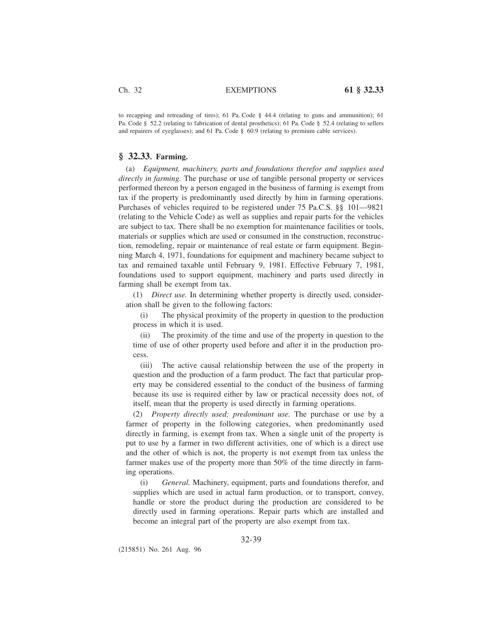to recapping and retreading of tires); 61 Pa. Code  $\S$  44.4 (relating to guns and ammunition); 61 Pa. Code § 52.2 (relating to fabrication of dental prosthetics); 61 Pa. Code § 52.4 (relating to sellers and repairers of eyeglasses); and 61 Pa. Code § 60.9 (relating to premium cable services).

## **§ 32.33. Farming.**

(a) *Equipment, machinery, parts and foundations therefor and supplies used directly in farming.* The purchase or use of tangible personal property or services performed thereon by a person engaged in the business of farming is exempt from tax if the property is predominantly used directly by him in farming operations. Purchases of vehicles required to be registered under 75 Pa.C.S. §§ 101—9821 (relating to the Vehicle Code) as well as supplies and repair parts for the vehicles are subject to tax. There shall be no exemption for maintenance facilities or tools, materials or supplies which are used or consumed in the construction, reconstruction, remodeling, repair or maintenance of real estate or farm equipment. Beginning March 4, 1971, foundations for equipment and machinery became subject to tax and remained taxable until February 9, 1981. Effective February 7, 1981, foundations used to support equipment, machinery and parts used directly in farming shall be exempt from tax.

(1) *Direct use.* In determining whether property is directly used, consideration shall be given to the following factors:

(i) The physical proximity of the property in question to the production process in which it is used.

(ii) The proximity of the time and use of the property in question to the time of use of other property used before and after it in the production process.

(iii) The active causal relationship between the use of the property in question and the production of a farm product. The fact that particular property may be considered essential to the conduct of the business of farming because its use is required either by law or practical necessity does not, of itself, mean that the property is used directly in farming operations.

(2) *Property directly used; predominant use.* The purchase or use by a farmer of property in the following categories, when predominantly used directly in farming, is exempt from tax. When a single unit of the property is put to use by a farmer in two different activities, one of which is a direct use and the other of which is not, the property is not exempt from tax unless the farmer makes use of the property more than 50% of the time directly in farming operations.

(i) *General.* Machinery, equipment, parts and foundations therefor, and supplies which are used in actual farm production, or to transport, convey, handle or store the product during the production are considered to be directly used in farming operations. Repair parts which are installed and become an integral part of the property are also exempt from tax.

(215851) No. 261 Aug. 96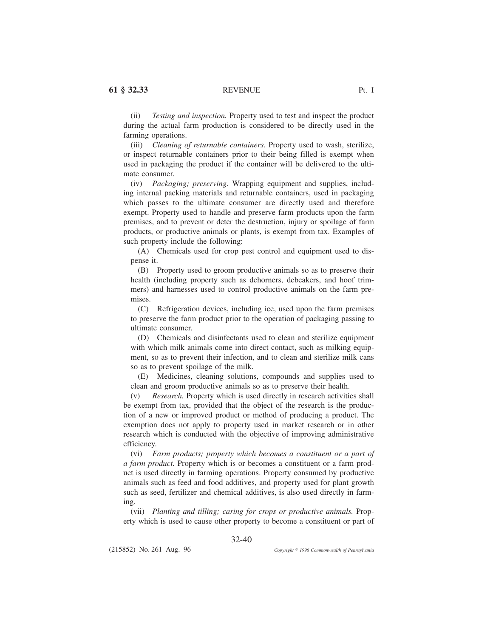(ii) *Testing and inspection.* Property used to test and inspect the product during the actual farm production is considered to be directly used in the farming operations.

(iii) *Cleaning of returnable containers.* Property used to wash, sterilize, or inspect returnable containers prior to their being filled is exempt when used in packaging the product if the container will be delivered to the ultimate consumer.

(iv) *Packaging; preserving.* Wrapping equipment and supplies, including internal packing materials and returnable containers, used in packaging which passes to the ultimate consumer are directly used and therefore exempt. Property used to handle and preserve farm products upon the farm premises, and to prevent or deter the destruction, injury or spoilage of farm products, or productive animals or plants, is exempt from tax. Examples of such property include the following:

(A) Chemicals used for crop pest control and equipment used to dispense it.

(B) Property used to groom productive animals so as to preserve their health (including property such as dehorners, debeakers, and hoof trimmers) and harnesses used to control productive animals on the farm premises.

(C) Refrigeration devices, including ice, used upon the farm premises to preserve the farm product prior to the operation of packaging passing to ultimate consumer.

(D) Chemicals and disinfectants used to clean and sterilize equipment with which milk animals come into direct contact, such as milking equipment, so as to prevent their infection, and to clean and sterilize milk cans so as to prevent spoilage of the milk.

(E) Medicines, cleaning solutions, compounds and supplies used to clean and groom productive animals so as to preserve their health.

(v) *Research.* Property which is used directly in research activities shall be exempt from tax, provided that the object of the research is the production of a new or improved product or method of producing a product. The exemption does not apply to property used in market research or in other research which is conducted with the objective of improving administrative efficiency.

(vi) *Farm products; property which becomes a constituent or a part of a farm product.* Property which is or becomes a constituent or a farm product is used directly in farming operations. Property consumed by productive animals such as feed and food additives, and property used for plant growth such as seed, fertilizer and chemical additives, is also used directly in farming.

(vii) *Planting and tilling; caring for crops or productive animals.* Property which is used to cause other property to become a constituent or part of

32-40

(215852) No. 261 Aug. 96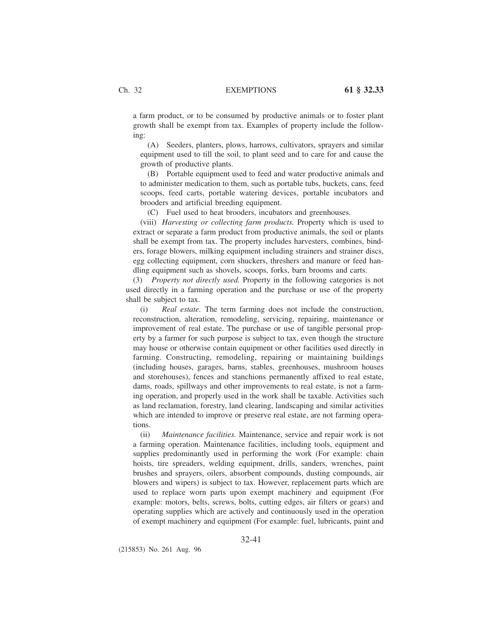a farm product, or to be consumed by productive animals or to foster plant growth shall be exempt from tax. Examples of property include the following:

(A) Seeders, planters, plows, harrows, cultivators, sprayers and similar equipment used to till the soil, to plant seed and to care for and cause the growth of productive plants.

(B) Portable equipment used to feed and water productive animals and to administer medication to them, such as portable tubs, buckets, cans, feed scoops, feed carts, portable watering devices, portable incubators and brooders and artificial breeding equipment.

(C) Fuel used to heat brooders, incubators and greenhouses.

(viii) *Harvesting or collecting farm products.* Property which is used to extract or separate a farm product from productive animals, the soil or plants shall be exempt from tax. The property includes harvesters, combines, binders, forage blowers, milking equipment including strainers and strainer discs, egg collecting equipment, corn shuckers, threshers and manure or feed handling equipment such as shovels, scoops, forks, barn brooms and carts.

(3) *Property not directly used.* Property in the following categories is not used directly in a farming operation and the purchase or use of the property shall be subject to tax.

(i) *Real estate.* The term farming does not include the construction, reconstruction, alteration, remodeling, servicing, repairing, maintenance or improvement of real estate. The purchase or use of tangible personal property by a farmer for such purpose is subject to tax, even though the structure may house or otherwise contain equipment or other facilities used directly in farming. Constructing, remodeling, repairing or maintaining buildings (including houses, garages, barns, stables, greenhouses, mushroom houses and storehouses), fences and stanchions permanently affixed to real estate, dams, roads, spillways and other improvements to real estate, is not a farming operation, and properly used in the work shall be taxable. Activities such as land reclamation, forestry, land clearing, landscaping and similar activities which are intended to improve or preserve real estate, are not farming operations.

(ii) *Maintenance facilities.* Maintenance, service and repair work is not a farming operation. Maintenance facilities, including tools, equipment and supplies predominantly used in performing the work (For example: chain hoists, tire spreaders, welding equipment, drills, sanders, wrenches, paint brushes and sprayers, oilers, absorbent compounds, dusting compounds, air blowers and wipers) is subject to tax. However, replacement parts which are used to replace worn parts upon exempt machinery and equipment (For example: motors, belts, screws, bolts, cutting edges, air filters or gears) and operating supplies which are actively and continuously used in the operation of exempt machinery and equipment (For example: fuel, lubricants, paint and

32-41

(215853) No. 261 Aug. 96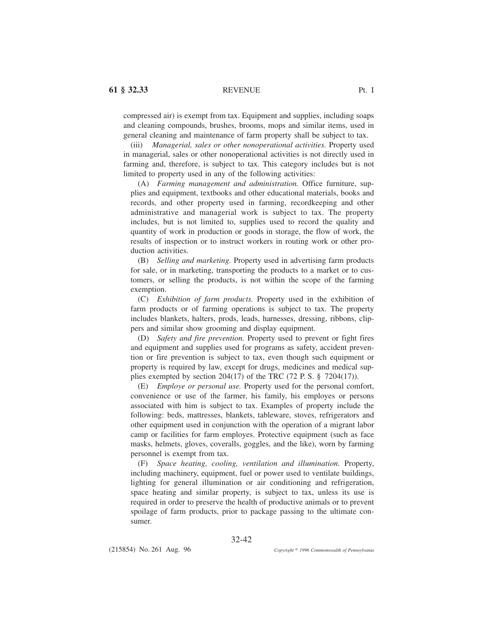compressed air) is exempt from tax. Equipment and supplies, including soaps and cleaning compounds, brushes, brooms, mops and similar items, used in general cleaning and maintenance of farm property shall be subject to tax.

(iii) *Managerial, sales or other nonoperational activities.* Property used in managerial, sales or other nonoperational activities is not directly used in farming and, therefore, is subject to tax. This category includes but is not limited to property used in any of the following activities:

(A) *Farming management and administration.* Office furniture, supplies and equipment, textbooks and other educational materials, books and records, and other property used in farming, recordkeeping and other administrative and managerial work is subject to tax. The property includes, but is not limited to, supplies used to record the quality and quantity of work in production or goods in storage, the flow of work, the results of inspection or to instruct workers in routing work or other production activities.

(B) *Selling and marketing.* Property used in advertising farm products for sale, or in marketing, transporting the products to a market or to customers, or selling the products, is not within the scope of the farming exemption.

(C) *Exhibition of farm products.* Property used in the exhibition of farm products or of farming operations is subject to tax. The property includes blankets, halters, prods, leads, harnesses, dressing, ribbons, clippers and similar show grooming and display equipment.

(D) *Safety and fire prevention.* Property used to prevent or fight fires and equipment and supplies used for programs as safety, accident prevention or fire prevention is subject to tax, even though such equipment or property is required by law, except for drugs, medicines and medical supplies exempted by section  $204(17)$  of the TRC (72 P.S. § 7204(17)).

(E) *Employe or personal use.* Property used for the personal comfort, convenience or use of the farmer, his family, his employes or persons associated with him is subject to tax. Examples of property include the following: beds, mattresses, blankets, tableware, stoves, refrigerators and other equipment used in conjunction with the operation of a migrant labor camp or facilities for farm employes. Protective equipment (such as face masks, helmets, gloves, coveralls, goggles, and the like), worn by farming personnel is exempt from tax.

(F) *Space heating, cooling, ventilation and illumination.* Property, including machinery, equipment, fuel or power used to ventilate buildings, lighting for general illumination or air conditioning and refrigeration, space heating and similar property, is subject to tax, unless its use is required in order to preserve the health of productive animals or to prevent spoilage of farm products, prior to package passing to the ultimate consumer.

32-42

(215854) No. 261 Aug. 96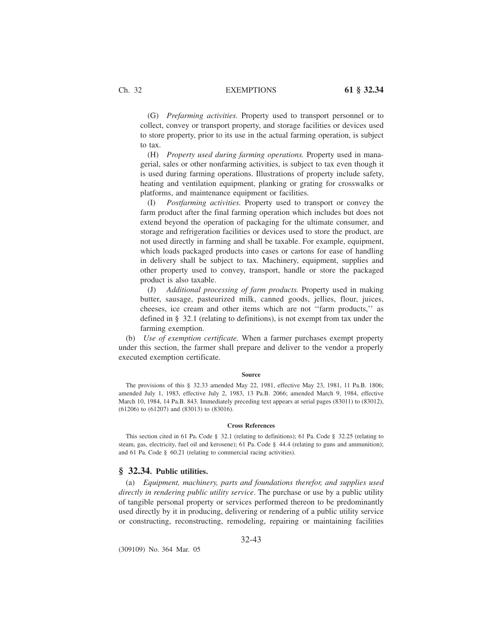(G) *Prefarming activities.* Property used to transport personnel or to collect, convey or transport property, and storage facilities or devices used to store property, prior to its use in the actual farming operation, is subject to tax.

(H) *Property used during farming operations.* Property used in managerial, sales or other nonfarming activities, is subject to tax even though it is used during farming operations. Illustrations of property include safety, heating and ventilation equipment, planking or grating for crosswalks or platforms, and maintenance equipment or facilities.

(I) *Postfarming activities.* Property used to transport or convey the farm product after the final farming operation which includes but does not extend beyond the operation of packaging for the ultimate consumer, and storage and refrigeration facilities or devices used to store the product, are not used directly in farming and shall be taxable. For example, equipment, which loads packaged products into cases or cartons for ease of handling in delivery shall be subject to tax. Machinery, equipment, supplies and other property used to convey, transport, handle or store the packaged product is also taxable.

(J) *Additional processing of farm products.* Property used in making butter, sausage, pasteurized milk, canned goods, jellies, flour, juices, cheeses, ice cream and other items which are not ''farm products,'' as defined in § 32.1 (relating to definitions), is not exempt from tax under the farming exemption.

(b) *Use of exemption certificate.* When a farmer purchases exempt property under this section, the farmer shall prepare and deliver to the vendor a properly executed exemption certificate.

#### **Source**

The provisions of this § 32.33 amended May 22, 1981, effective May 23, 1981, 11 Pa.B. 1806; amended July 1, 1983, effective July 2, 1983, 13 Pa.B. 2066; amended March 9, 1984, effective March 10, 1984, 14 Pa.B. 843. Immediately preceding text appears at serial pages (83011) to (83012), (61206) to (61207) and (83013) to (83016).

#### **Cross References**

This section cited in 61 Pa. Code § 32.1 (relating to definitions); 61 Pa. Code § 32.25 (relating to steam, gas, electricity, fuel oil and kerosene); 61 Pa. Code § 44.4 (relating to guns and ammunition); and 61 Pa. Code § 60.21 (relating to commercial racing activities).

## **§ 32.34. Public utilities.**

(a) *Equipment, machinery, parts and foundations therefor, and supplies used directly in rendering public utility service*. The purchase or use by a public utility of tangible personal property or services performed thereon to be predominantly used directly by it in producing, delivering or rendering of a public utility service or constructing, reconstructing, remodeling, repairing or maintaining facilities

32-43

(309109) No. 364 Mar. 05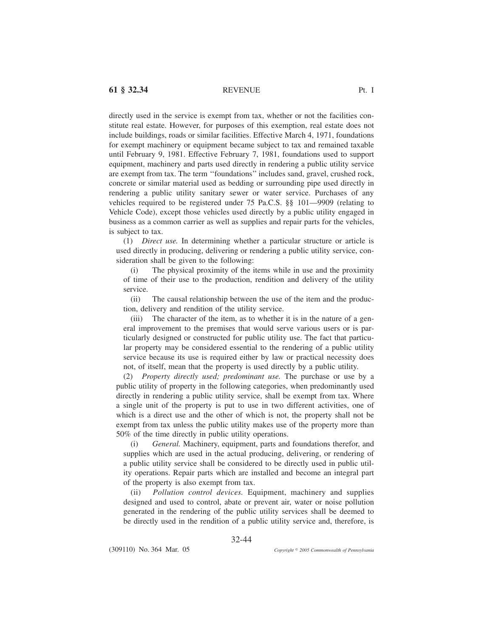directly used in the service is exempt from tax, whether or not the facilities constitute real estate. However, for purposes of this exemption, real estate does not include buildings, roads or similar facilities. Effective March 4, 1971, foundations for exempt machinery or equipment became subject to tax and remained taxable until February 9, 1981. Effective February 7, 1981, foundations used to support equipment, machinery and parts used directly in rendering a public utility service are exempt from tax. The term ''foundations'' includes sand, gravel, crushed rock, concrete or similar material used as bedding or surrounding pipe used directly in rendering a public utility sanitary sewer or water service. Purchases of any vehicles required to be registered under 75 Pa.C.S. §§ 101—9909 (relating to Vehicle Code), except those vehicles used directly by a public utility engaged in business as a common carrier as well as supplies and repair parts for the vehicles, is subject to tax.

(1) *Direct use.* In determining whether a particular structure or article is used directly in producing, delivering or rendering a public utility service, consideration shall be given to the following:

(i) The physical proximity of the items while in use and the proximity of time of their use to the production, rendition and delivery of the utility service.

(ii) The causal relationship between the use of the item and the production, delivery and rendition of the utility service.

(iii) The character of the item, as to whether it is in the nature of a general improvement to the premises that would serve various users or is particularly designed or constructed for public utility use. The fact that particular property may be considered essential to the rendering of a public utility service because its use is required either by law or practical necessity does not, of itself, mean that the property is used directly by a public utility.

(2) *Property directly used; predominant use.* The purchase or use by a public utility of property in the following categories, when predominantly used directly in rendering a public utility service, shall be exempt from tax. Where a single unit of the property is put to use in two different activities, one of which is a direct use and the other of which is not, the property shall not be exempt from tax unless the public utility makes use of the property more than 50% of the time directly in public utility operations.

(i) *General.* Machinery, equipment, parts and foundations therefor, and supplies which are used in the actual producing, delivering, or rendering of a public utility service shall be considered to be directly used in public utility operations. Repair parts which are installed and become an integral part of the property is also exempt from tax.

(ii) *Pollution control devices.* Equipment, machinery and supplies designed and used to control, abate or prevent air, water or noise pollution generated in the rendering of the public utility services shall be deemed to be directly used in the rendition of a public utility service and, therefore, is

32-44

(309110) No. 364 Mar. 05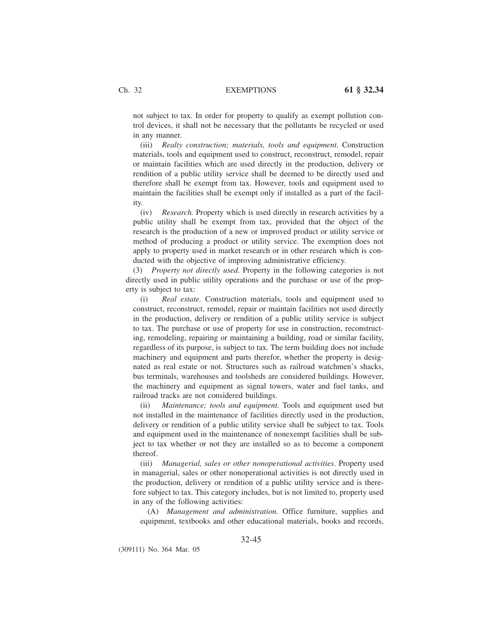not subject to tax. In order for property to qualify as exempt pollution control devices, it shall not be necessary that the pollutants be recycled or used in any manner.

(iii) *Realty construction; materials, tools and equipment.* Construction materials, tools and equipment used to construct, reconstruct, remodel, repair or maintain facilities which are used directly in the production, delivery or rendition of a public utility service shall be deemed to be directly used and therefore shall be exempt from tax. However, tools and equipment used to maintain the facilities shall be exempt only if installed as a part of the facility.

(iv) *Research.* Property which is used directly in research activities by a public utility shall be exempt from tax, provided that the object of the research is the production of a new or improved product or utility service or method of producing a product or utility service. The exemption does not apply to property used in market research or in other research which is conducted with the objective of improving administrative efficiency.

(3) *Property not directly used*. Property in the following categories is not directly used in public utility operations and the purchase or use of the property is subject to tax:

(i) *Real estate.* Construction materials, tools and equipment used to construct, reconstruct, remodel, repair or maintain facilities not used directly in the production, delivery or rendition of a public utility service is subject to tax. The purchase or use of property for use in construction, reconstructing, remodeling, repairing or maintaining a building, road or similar facility, regardless of its purpose, is subject to tax. The term building does not include machinery and equipment and parts therefor, whether the property is designated as real estate or not. Structures such as railroad watchmen's shacks, bus terminals, warehouses and toolsheds are considered buildings. However, the machinery and equipment as signal towers, water and fuel tanks, and railroad tracks are not considered buildings.

(ii) *Maintenance; tools and equipment.* Tools and equipment used but not installed in the maintenance of facilities directly used in the production, delivery or rendition of a public utility service shall be subject to tax. Tools and equipment used in the maintenance of nonexempt facilities shall be subject to tax whether or not they are installed so as to become a component thereof.

(iii) *Managerial, sales or other nonoperational activities*. Property used in managerial, sales or other nonoperational activities is not directly used in the production, delivery or rendition of a public utility service and is therefore subject to tax. This category includes, but is not limited to, property used in any of the following activities:

(A) *Management and administration.* Office furniture, supplies and equipment, textbooks and other educational materials, books and records,

32-45

(309111) No. 364 Mar. 05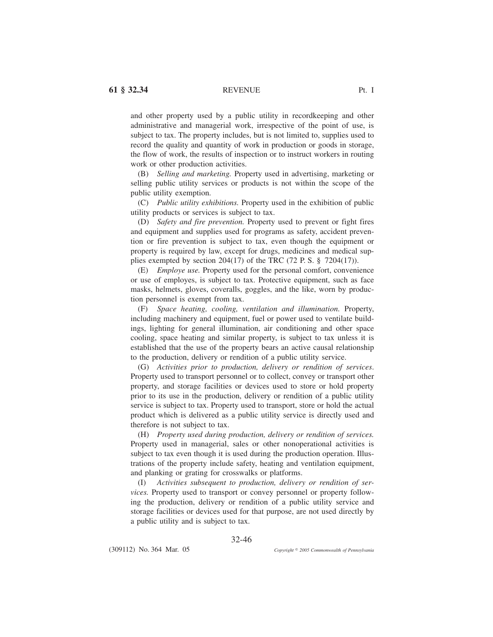and other property used by a public utility in recordkeeping and other administrative and managerial work, irrespective of the point of use, is subject to tax. The property includes, but is not limited to, supplies used to record the quality and quantity of work in production or goods in storage, the flow of work, the results of inspection or to instruct workers in routing work or other production activities.

(B) *Selling and marketing.* Property used in advertising, marketing or selling public utility services or products is not within the scope of the public utility exemption.

(C) *Public utility exhibitions.* Property used in the exhibition of public utility products or services is subject to tax.

(D) *Safety and fire prevention.* Property used to prevent or fight fires and equipment and supplies used for programs as safety, accident prevention or fire prevention is subject to tax, even though the equipment or property is required by law, except for drugs, medicines and medical supplies exempted by section  $204(17)$  of the TRC (72 P.S. § 7204(17)).

(E) *Employe use.* Property used for the personal comfort, convenience or use of employes, is subject to tax. Protective equipment, such as face masks, helmets, gloves, coveralls, goggles, and the like, worn by production personnel is exempt from tax.

(F) *Space heating, cooling, ventilation and illumination.* Property, including machinery and equipment, fuel or power used to ventilate buildings, lighting for general illumination, air conditioning and other space cooling, space heating and similar property, is subject to tax unless it is established that the use of the property bears an active causal relationship to the production, delivery or rendition of a public utility service.

(G) *Activities prior to production, delivery or rendition of services*. Property used to transport personnel or to collect, convey or transport other property, and storage facilities or devices used to store or hold property prior to its use in the production, delivery or rendition of a public utility service is subject to tax. Property used to transport, store or hold the actual product which is delivered as a public utility service is directly used and therefore is not subject to tax.

(H) *Property used during production, delivery or rendition of services.* Property used in managerial, sales or other nonoperational activities is subject to tax even though it is used during the production operation. Illustrations of the property include safety, heating and ventilation equipment, and planking or grating for crosswalks or platforms.

(I) *Activities subsequent to production, delivery or rendition of services.* Property used to transport or convey personnel or property following the production, delivery or rendition of a public utility service and storage facilities or devices used for that purpose, are not used directly by a public utility and is subject to tax.

32-46

(309112) No. 364 Mar. 05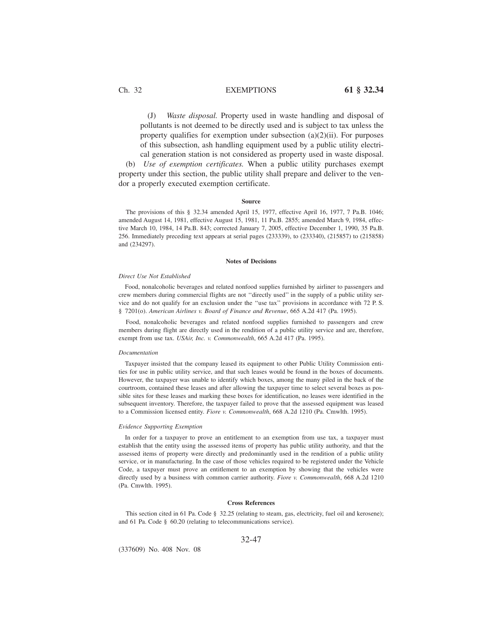(J) *Waste disposal.* Property used in waste handling and disposal of pollutants is not deemed to be directly used and is subject to tax unless the property qualifies for exemption under subsection  $(a)(2)(ii)$ . For purposes of this subsection, ash handling equipment used by a public utility electrical generation station is not considered as property used in waste disposal.

(b) *Use of exemption certificates.* When a public utility purchases exempt property under this section, the public utility shall prepare and deliver to the vendor a properly executed exemption certificate.

#### **Source**

The provisions of this § 32.34 amended April 15, 1977, effective April 16, 1977, 7 Pa.B. 1046; amended August 14, 1981, effective August 15, 1981, 11 Pa.B. 2855; amended March 9, 1984, effective March 10, 1984, 14 Pa.B. 843; corrected January 7, 2005, effective December 1, 1990, 35 Pa.B. 256. Immediately preceding text appears at serial pages (233339), to (233340), (215857) to (215858) and (234297).

### **Notes of Decisions**

### *Direct Use Not Established*

Food, nonalcoholic beverages and related nonfood supplies furnished by airliner to passengers and crew members during commercial flights are not ''directly used'' in the supply of a public utility service and do not qualify for an exclusion under the ''use tax'' provisions in accordance with 72 P. S. § 7201(o). *American Airlines v. Board of Finance and Revenue*, 665 A.2d 417 (Pa. 1995).

Food, nonalcoholic beverages and related nonfood supplies furnished to passengers and crew members during flight are directly used in the rendition of a public utility service and are, therefore, exempt from use tax. *USAir, Inc. v. Commonwealth*, 665 A.2d 417 (Pa. 1995).

## *Documentation*

Taxpayer insisted that the company leased its equipment to other Public Utility Commission entities for use in public utility service, and that such leases would be found in the boxes of documents. However, the taxpayer was unable to identify which boxes, among the many piled in the back of the courtroom, contained these leases and after allowing the taxpayer time to select several boxes as possible sites for these leases and marking these boxes for identification, no leases were identified in the subsequent inventory. Therefore, the taxpayer failed to prove that the assessed equipment was leased to a Commission licensed entity. *Fiore v. Commonwealth*, 668 A.2d 1210 (Pa. Cmwlth. 1995).

#### *Evidence Supporting Exemption*

In order for a taxpayer to prove an entitlement to an exemption from use tax, a taxpayer must establish that the entity using the assessed items of property has public utility authority, and that the assessed items of property were directly and predominantly used in the rendition of a public utility service, or in manufacturing. In the case of those vehicles required to be registered under the Vehicle Code, a taxpayer must prove an entitlement to an exemption by showing that the vehicles were directly used by a business with common carrier authority. *Fiore v. Commonwealth*, 668 A.2d 1210 (Pa. Cmwlth. 1995).

#### **Cross References**

This section cited in 61 Pa. Code § 32.25 (relating to steam, gas, electricity, fuel oil and kerosene); and 61 Pa. Code § 60.20 (relating to telecommunications service).

## 32-47

(337609) No. 408 Nov. 08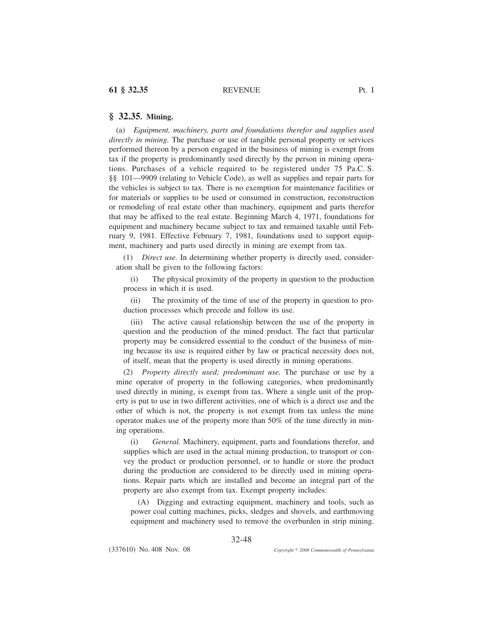## **§ 32.35. Mining.**

(a) *Equipment, machinery, parts and foundations therefor and supplies used directly in mining.* The purchase or use of tangible personal property or services performed thereon by a person engaged in the business of mining is exempt from tax if the property is predominantly used directly by the person in mining operations. Purchases of a vehicle required to be registered under 75 Pa.C. S. §§ 101—9909 (relating to Vehicle Code), as well as supplies and repair parts for the vehicles is subject to tax. There is no exemption for maintenance facilities or for materials or supplies to be used or consumed in construction, reconstruction or remodeling of real estate other than machinery, equipment and parts therefor that may be affixed to the real estate. Beginning March 4, 1971, foundations for equipment and machinery became subject to tax and remained taxable until February 9, 1981. Effective February 7, 1981, foundations used to support equipment, machinery and parts used directly in mining are exempt from tax.

(1) *Direct use.* In determining whether property is directly used, consideration shall be given to the following factors:

(i) The physical proximity of the property in question to the production process in which it is used.

(ii) The proximity of the time of use of the property in question to production processes which precede and follow its use.

(iii) The active causal relationship between the use of the property in question and the production of the mined product. The fact that particular property may be considered essential to the conduct of the business of mining because its use is required either by law or practical necessity does not, of itself, mean that the property is used directly in mining operations.

(2) *Property directly used; predominant use.* The purchase or use by a mine operator of property in the following categories, when predominantly used directly in mining, is exempt from tax. Where a single unit of the property is put to use in two different activities, one of which is a direct use and the other of which is not, the property is not exempt from tax unless the mine operator makes use of the property more than 50% of the time directly in mining operations.

(i) *General.* Machinery, equipment, parts and foundations therefor, and supplies which are used in the actual mining production, to transport or convey the product or production personnel, or to handle or store the product during the production are considered to be directly used in mining operations. Repair parts which are installed and become an integral part of the property are also exempt from tax. Exempt property includes:

(A) Digging and extracting equipment, machinery and tools, such as power coal cutting machines, picks, sledges and shovels, and earthmoving equipment and machinery used to remove the overburden in strip mining.

32-48

(337610) No. 408 Nov. 08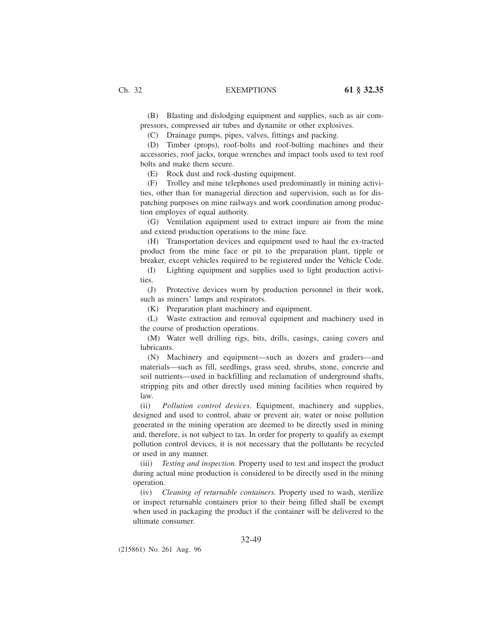## Ch. 32 EXEMPTIONS **61 § 32.35**

(B) Blasting and dislodging equipment and supplies, such as air compressors, compressed air tubes and dynamite or other explosives.

(C) Drainage pumps, pipes, valves, fittings and packing.

(D) Timber (props), roof-bolts and roof-bolting machines and their accessories, roof jacks, torque wrenches and impact tools used to test roof bolts and make them secure.

(E) Rock dust and rock-dusting equipment.

(F) Trolley and mine telephones used predominantly in mining activities, other than for managerial direction and supervision, such as for dispatching purposes on mine railways and work coordination among production employes of equal authority.

(G) Ventilation equipment used to extract impure air from the mine and extend production operations to the mine face.

(H) Transportation devices and equipment used to haul the ex-tracted product from the mine face or pit to the preparation plant, tipple or breaker, except vehicles required to be registered under the Vehicle Code.

(I) Lighting equipment and supplies used to light production activities.

(J) Protective devices worn by production personnel in their work, such as miners' lamps and respirators.

(K) Preparation plant machinery and equipment.

(L) Waste extraction and removal equipment and machinery used in the course of production operations.

(M) Water well drilling rigs, bits, drills, casings, casing covers and lubricants.

(N) Machinery and equipment—such as dozers and graders—and materials—such as fill, seedlings, grass seed, shrubs, stone, concrete and soil nutrients—used in backfilling and reclamation of underground shafts, stripping pits and other directly used mining facilities when required by law.

(ii) *Pollution control devices.* Equipment, machinery and supplies, designed and used to control, abate or prevent air, water or noise pollution generated in the mining operation are deemed to be directly used in mining and, therefore, is not subject to tax. In order for property to qualify as exempt pollution control devices, it is not necessary that the pollutants be recycled or used in any manner.

(iii) *Testing and inspection.* Property used to test and inspect the product during actual mine production is considered to be directly used in the mining operation.

(iv) *Cleaning of returnable containers.* Property used to wash, sterilize or inspect returnable containers prior to their being filled shall be exempt when used in packaging the product if the container will be delivered to the ultimate consumer.

(215861) No. 261 Aug. 96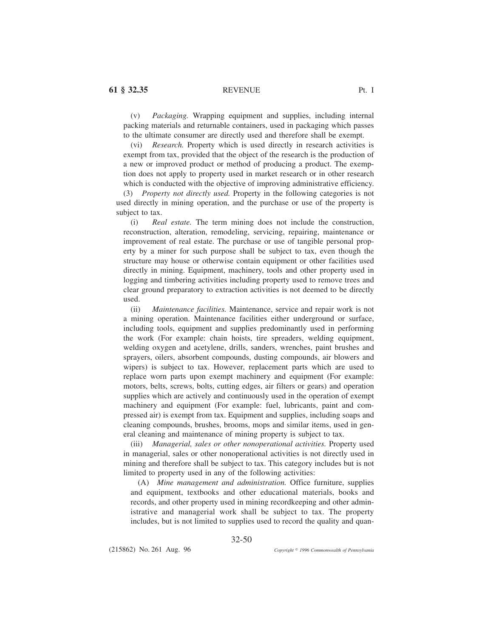(v) *Packaging.* Wrapping equipment and supplies, including internal packing materials and returnable containers, used in packaging which passes to the ultimate consumer are directly used and therefore shall be exempt.

(vi) *Research.* Property which is used directly in research activities is exempt from tax, provided that the object of the research is the production of a new or improved product or method of producing a product. The exemption does not apply to property used in market research or in other research which is conducted with the objective of improving administrative efficiency.

(3) *Property not directly used.* Property in the following categories is not used directly in mining operation, and the purchase or use of the property is subject to tax.

(i) *Real estate.* The term mining does not include the construction, reconstruction, alteration, remodeling, servicing, repairing, maintenance or improvement of real estate. The purchase or use of tangible personal property by a miner for such purpose shall be subject to tax, even though the structure may house or otherwise contain equipment or other facilities used directly in mining. Equipment, machinery, tools and other property used in logging and timbering activities including property used to remove trees and clear ground preparatory to extraction activities is not deemed to be directly used.

(ii) *Maintenance facilities.* Maintenance, service and repair work is not a mining operation. Maintenance facilities either underground or surface, including tools, equipment and supplies predominantly used in performing the work (For example: chain hoists, tire spreaders, welding equipment, welding oxygen and acetylene, drills, sanders, wrenches, paint brushes and sprayers, oilers, absorbent compounds, dusting compounds, air blowers and wipers) is subject to tax. However, replacement parts which are used to replace worn parts upon exempt machinery and equipment (For example: motors, belts, screws, bolts, cutting edges, air filters or gears) and operation supplies which are actively and continuously used in the operation of exempt machinery and equipment (For example: fuel, lubricants, paint and compressed air) is exempt from tax. Equipment and supplies, including soaps and cleaning compounds, brushes, brooms, mops and similar items, used in general cleaning and maintenance of mining property is subject to tax.

(iii) *Managerial, sales or other nonoperational activities.* Property used in managerial, sales or other nonoperational activities is not directly used in mining and therefore shall be subject to tax. This category includes but is not limited to property used in any of the following activities:

(A) *Mine management and administration.* Office furniture, supplies and equipment, textbooks and other educational materials, books and records, and other property used in mining recordkeeping and other administrative and managerial work shall be subject to tax. The property includes, but is not limited to supplies used to record the quality and quan-

32-50

(215862) No. 261 Aug. 96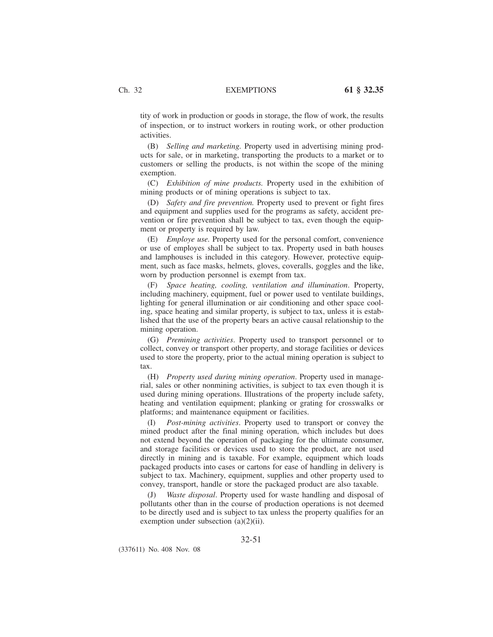tity of work in production or goods in storage, the flow of work, the results of inspection, or to instruct workers in routing work, or other production activities.

(B) *Selling and marketing.* Property used in advertising mining products for sale, or in marketing, transporting the products to a market or to customers or selling the products, is not within the scope of the mining exemption.

(C) *Exhibition of mine products.* Property used in the exhibition of mining products or of mining operations is subject to tax.

(D) *Safety and fire prevention.* Property used to prevent or fight fires and equipment and supplies used for the programs as safety, accident prevention or fire prevention shall be subject to tax, even though the equipment or property is required by law.

(E) *Employe use.* Property used for the personal comfort, convenience or use of employes shall be subject to tax. Property used in bath houses and lamphouses is included in this category. However, protective equipment, such as face masks, helmets, gloves, coveralls, goggles and the like, worn by production personnel is exempt from tax.

(F) *Space heating, cooling, ventilation and illumination*. Property, including machinery, equipment, fuel or power used to ventilate buildings, lighting for general illumination or air conditioning and other space cooling, space heating and similar property, is subject to tax, unless it is established that the use of the property bears an active causal relationship to the mining operation.

(G) *Premining activities*. Property used to transport personnel or to collect, convey or transport other property, and storage facilities or devices used to store the property, prior to the actual mining operation is subject to tax.

(H) *Property used during mining operation*. Property used in managerial, sales or other nonmining activities, is subject to tax even though it is used during mining operations. Illustrations of the property include safety, heating and ventilation equipment; planking or grating for crosswalks or platforms; and maintenance equipment or facilities.

(I) *Post-mining activities*. Property used to transport or convey the mined product after the final mining operation, which includes but does not extend beyond the operation of packaging for the ultimate consumer, and storage facilities or devices used to store the product, are not used directly in mining and is taxable. For example, equipment which loads packaged products into cases or cartons for ease of handling in delivery is subject to tax. Machinery, equipment, supplies and other property used to convey, transport, handle or store the packaged product are also taxable.

(J) *Waste disposal*. Property used for waste handling and disposal of pollutants other than in the course of production operations is not deemed to be directly used and is subject to tax unless the property qualifies for an exemption under subsection (a)(2)(ii).

32-51

(337611) No. 408 Nov. 08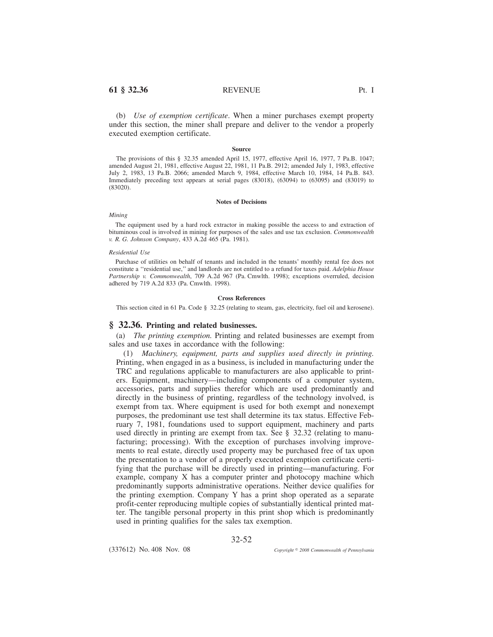(b) *Use of exemption certificate*. When a miner purchases exempt property under this section, the miner shall prepare and deliver to the vendor a properly executed exemption certificate.

## **Source**

The provisions of this § 32.35 amended April 15, 1977, effective April 16, 1977, 7 Pa.B. 1047; amended August 21, 1981, effective August 22, 1981, 11 Pa.B. 2912; amended July 1, 1983, effective July 2, 1983, 13 Pa.B. 2066; amended March 9, 1984, effective March 10, 1984, 14 Pa.B. 843. Immediately preceding text appears at serial pages (83018), (63094) to (63095) and (83019) to (83020).

## **Notes of Decisions**

## *Mining*

The equipment used by a hard rock extractor in making possible the access to and extraction of bituminous coal is involved in mining for purposes of the sales and use tax exclusion. *Commonwealth v. R. G. Johnson Company*, 433 A.2d 465 (Pa. 1981).

#### *Residential Use*

Purchase of utilities on behalf of tenants and included in the tenants' monthly rental fee does not constitute a ''residential use,'' and landlords are not entitled to a refund for taxes paid. *Adelphia House Partnership v. Commonwealth*, 709 A.2d 967 (Pa. Cmwlth. 1998); exceptions overruled, decision adhered by 719 A.2d 833 (Pa. Cmwlth. 1998).

#### **Cross References**

This section cited in 61 Pa. Code § 32.25 (relating to steam, gas, electricity, fuel oil and kerosene).

## **§ 32.36. Printing and related businesses.**

(a) *The printing exemption.* Printing and related businesses are exempt from sales and use taxes in accordance with the following:

(1) *Machinery, equipment, parts and supplies used directly in printing.* Printing, when engaged in as a business, is included in manufacturing under the TRC and regulations applicable to manufacturers are also applicable to printers. Equipment, machinery—including components of a computer system, accessories, parts and supplies therefor which are used predominantly and directly in the business of printing, regardless of the technology involved, is exempt from tax. Where equipment is used for both exempt and nonexempt purposes, the predominant use test shall determine its tax status. Effective February 7, 1981, foundations used to support equipment, machinery and parts used directly in printing are exempt from tax. See § 32.32 (relating to manufacturing; processing). With the exception of purchases involving improvements to real estate, directly used property may be purchased free of tax upon the presentation to a vendor of a properly executed exemption certificate certifying that the purchase will be directly used in printing—manufacturing. For example, company X has a computer printer and photocopy machine which predominantly supports administrative operations. Neither device qualifies for the printing exemption. Company Y has a print shop operated as a separate profit-center reproducing multiple copies of substantially identical printed matter. The tangible personal property in this print shop which is predominantly used in printing qualifies for the sales tax exemption.

32-52

(337612) No. 408 Nov. 08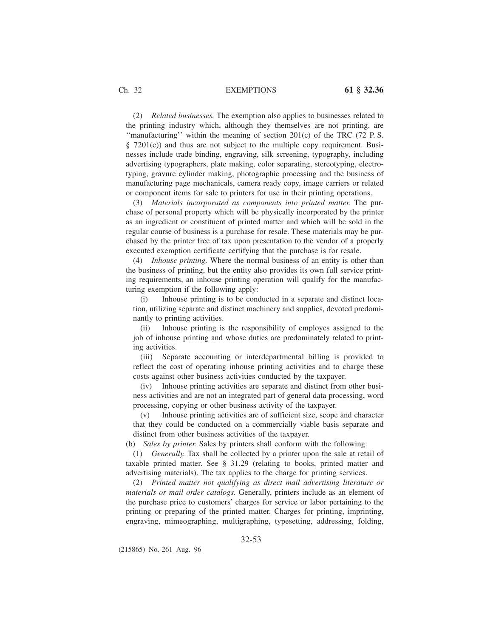(2) *Related businesses.* The exemption also applies to businesses related to the printing industry which, although they themselves are not printing, are ''manufacturing'' within the meaning of section 201(c) of the TRC (72 P. S. § 7201(c)) and thus are not subject to the multiple copy requirement. Businesses include trade binding, engraving, silk screening, typography, including advertising typographers, plate making, color separating, stereotyping, electrotyping, gravure cylinder making, photographic processing and the business of manufacturing page mechanicals, camera ready copy, image carriers or related or component items for sale to printers for use in their printing operations.

(3) *Materials incorporated as components into printed matter.* The purchase of personal property which will be physically incorporated by the printer as an ingredient or constituent of printed matter and which will be sold in the regular course of business is a purchase for resale. These materials may be purchased by the printer free of tax upon presentation to the vendor of a properly executed exemption certificate certifying that the purchase is for resale.

(4) *Inhouse printing.* Where the normal business of an entity is other than the business of printing, but the entity also provides its own full service printing requirements, an inhouse printing operation will qualify for the manufacturing exemption if the following apply:

(i) Inhouse printing is to be conducted in a separate and distinct location, utilizing separate and distinct machinery and supplies, devoted predominantly to printing activities.

(ii) Inhouse printing is the responsibility of employes assigned to the job of inhouse printing and whose duties are predominately related to printing activities.

(iii) Separate accounting or interdepartmental billing is provided to reflect the cost of operating inhouse printing activities and to charge these costs against other business activities conducted by the taxpayer.

(iv) Inhouse printing activities are separate and distinct from other business activities and are not an integrated part of general data processing, word processing, copying or other business activity of the taxpayer.

(v) Inhouse printing activities are of sufficient size, scope and character that they could be conducted on a commercially viable basis separate and distinct from other business activities of the taxpayer.

(b) *Sales by printer.* Sales by printers shall conform with the following:

(1) *Generally.* Tax shall be collected by a printer upon the sale at retail of taxable printed matter. See § 31.29 (relating to books, printed matter and advertising materials). The tax applies to the charge for printing services.

(2) *Printed matter not qualifying as direct mail advertising literature or materials or mail order catalogs.* Generally, printers include as an element of the purchase price to customers' charges for service or labor pertaining to the printing or preparing of the printed matter. Charges for printing, imprinting, engraving, mimeographing, multigraphing, typesetting, addressing, folding,

(215865) No. 261 Aug. 96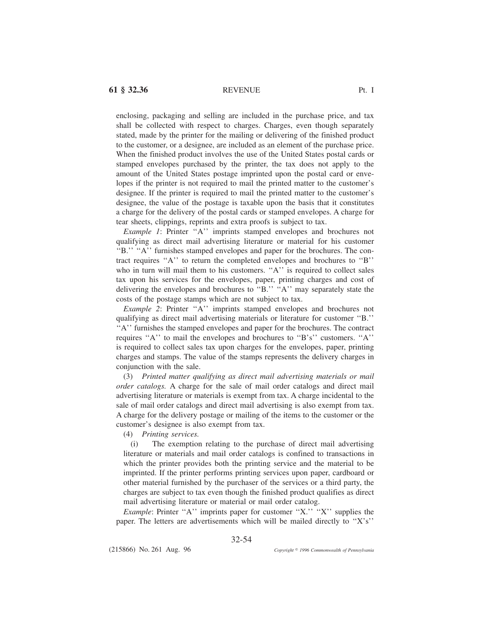enclosing, packaging and selling are included in the purchase price, and tax shall be collected with respect to charges. Charges, even though separately stated, made by the printer for the mailing or delivering of the finished product to the customer, or a designee, are included as an element of the purchase price. When the finished product involves the use of the United States postal cards or stamped envelopes purchased by the printer, the tax does not apply to the amount of the United States postage imprinted upon the postal card or envelopes if the printer is not required to mail the printed matter to the customer's designee. If the printer is required to mail the printed matter to the customer's designee, the value of the postage is taxable upon the basis that it constitutes a charge for the delivery of the postal cards or stamped envelopes. A charge for tear sheets, clippings, reprints and extra proofs is subject to tax.

*Example 1*: Printer "A" imprints stamped envelopes and brochures not qualifying as direct mail advertising literature or material for his customer "B." "A" furnishes stamped envelopes and paper for the brochures. The contract requires ''A'' to return the completed envelopes and brochures to ''B'' who in turn will mail them to his customers. "A" is required to collect sales tax upon his services for the envelopes, paper, printing charges and cost of delivering the envelopes and brochures to "B." "A" may separately state the costs of the postage stamps which are not subject to tax.

*Example 2*: Printer ''A'' imprints stamped envelopes and brochures not qualifying as direct mail advertising materials or literature for customer ''B.'' "A" furnishes the stamped envelopes and paper for the brochures. The contract requires "A" to mail the envelopes and brochures to "B's" customers. "A" is required to collect sales tax upon charges for the envelopes, paper, printing charges and stamps. The value of the stamps represents the delivery charges in conjunction with the sale.

(3) *Printed matter qualifying as direct mail advertising materials or mail order catalogs.* A charge for the sale of mail order catalogs and direct mail advertising literature or materials is exempt from tax. A charge incidental to the sale of mail order catalogs and direct mail advertising is also exempt from tax. A charge for the delivery postage or mailing of the items to the customer or the customer's designee is also exempt from tax.

(4) *Printing services.*

(i) The exemption relating to the purchase of direct mail advertising literature or materials and mail order catalogs is confined to transactions in which the printer provides both the printing service and the material to be imprinted. If the printer performs printing services upon paper, cardboard or other material furnished by the purchaser of the services or a third party, the charges are subject to tax even though the finished product qualifies as direct mail advertising literature or material or mail order catalog.

*Example*: Printer "A" imprints paper for customer "X." "X" supplies the paper. The letters are advertisements which will be mailed directly to "X's"

32-54

(215866) No. 261 Aug. 96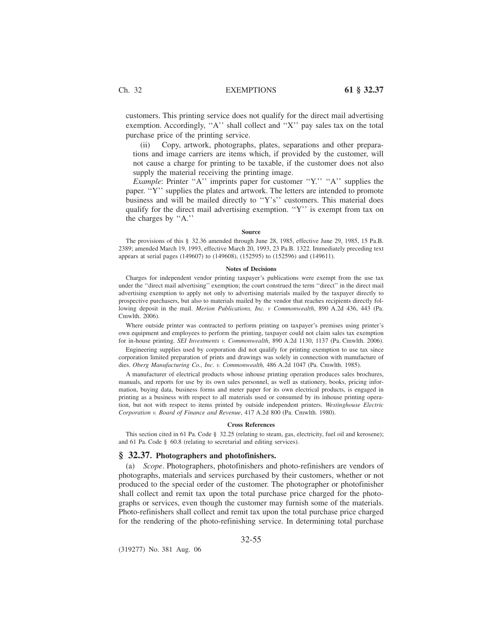customers. This printing service does not qualify for the direct mail advertising exemption. Accordingly, "A" shall collect and "X" pay sales tax on the total purchase price of the printing service.

(ii) Copy, artwork, photographs, plates, separations and other preparations and image carriers are items which, if provided by the customer, will not cause a charge for printing to be taxable, if the customer does not also supply the material receiving the printing image.

*Example*: Printer "A" imprints paper for customer "Y." "A" supplies the paper. ''Y'' supplies the plates and artwork. The letters are intended to promote business and will be mailed directly to "Y's" customers. This material does qualify for the direct mail advertising exemption. ''Y'' is exempt from tax on the charges by ''A.''

#### **Source**

The provisions of this § 32.36 amended through June 28, 1985, effective June 29, 1985, 15 Pa.B. 2389; amended March 19, 1993, effective March 20, 1993, 23 Pa.B. 1322. Immediately preceding text appears at serial pages (149607) to (149608), (152595) to (152596) and (149611).

#### **Notes of Decisions**

Charges for independent vendor printing taxpayer's publications were exempt from the use tax under the "direct mail advertising" exemption; the court construed the term "direct" in the direct mail advertising exemption to apply not only to advertising materials mailed by the taxpayer directly to prospective purchasers, but also to materials mailed by the vendor that reaches recipients directly following deposit in the mail. *Merion Publications, Inc. v Commonwealth*, 890 A.2d 436, 443 (Pa. Cmwlth. 2006).

Where outside printer was contracted to perform printing on taxpayer's premises using printer's own equipment and employees to perform the printing, taxpayer could not claim sales tax exemption for in-house printing. *SEI Investments v. Commonwealth*, 890 A.2d 1130, 1137 (Pa. Cmwlth. 2006).

Engineering supplies used by corporation did not qualify for printing exemption to use tax since corporation limited preparation of prints and drawings was solely in connection with manufacture of dies. *Oberg Manufacturing Co., Inc. v. Commonwealth,* 486 A.2d 1047 (Pa. Cmwlth. 1985).

A manufacturer of electrical products whose inhouse printing operation produces sales brochures, manuals, and reports for use by its own sales personnel, as well as stationery, books, pricing information, buying data, business forms and meter paper for its own electrical products, is engaged in printing as a business with respect to all materials used or consumed by its inhouse printing operation, but not with respect to items printed by outside independent printers. *Westinghouse Electric Corporation v. Board of Finance and Revenue*, 417 A.2d 800 (Pa. Cmwlth. 1980).

### **Cross References**

This section cited in 61 Pa. Code § 32.25 (relating to steam, gas, electricity, fuel oil and kerosene); and 61 Pa. Code § 60.8 (relating to secretarial and editing services).

## **§ 32.37. Photographers and photofinishers.**

(a) *Scope*. Photographers, photofinishers and photo-refinishers are vendors of photographs, materials and services purchased by their customers, whether or not produced to the special order of the customer. The photographer or photofinisher shall collect and remit tax upon the total purchase price charged for the photographs or services, even though the customer may furnish some of the materials. Photo-refinishers shall collect and remit tax upon the total purchase price charged for the rendering of the photo-refinishing service. In determining total purchase

32-55

(319277) No. 381 Aug. 06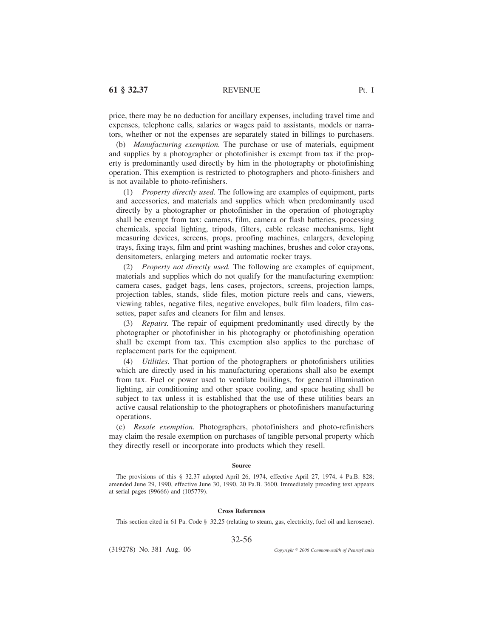price, there may be no deduction for ancillary expenses, including travel time and expenses, telephone calls, salaries or wages paid to assistants, models or narrators, whether or not the expenses are separately stated in billings to purchasers.

(b) *Manufacturing exemption.* The purchase or use of materials, equipment and supplies by a photographer or photofinisher is exempt from tax if the property is predominantly used directly by him in the photography or photofinishing operation. This exemption is restricted to photographers and photo-finishers and is not available to photo-refinishers.

(1) *Property directly used.* The following are examples of equipment, parts and accessories, and materials and supplies which when predominantly used directly by a photographer or photofinisher in the operation of photography shall be exempt from tax: cameras, film, camera or flash batteries, processing chemicals, special lighting, tripods, filters, cable release mechanisms, light measuring devices, screens, props, proofing machines, enlargers, developing trays, fixing trays, film and print washing machines, brushes and color crayons, densitometers, enlarging meters and automatic rocker trays.

(2) *Property not directly used.* The following are examples of equipment, materials and supplies which do not qualify for the manufacturing exemption: camera cases, gadget bags, lens cases, projectors, screens, projection lamps, projection tables, stands, slide files, motion picture reels and cans, viewers, viewing tables, negative files, negative envelopes, bulk film loaders, film cassettes, paper safes and cleaners for film and lenses.

(3) *Repairs.* The repair of equipment predominantly used directly by the photographer or photofinisher in his photography or photofinishing operation shall be exempt from tax. This exemption also applies to the purchase of replacement parts for the equipment.

(4) *Utilities.* That portion of the photographers or photofinishers utilities which are directly used in his manufacturing operations shall also be exempt from tax. Fuel or power used to ventilate buildings, for general illumination lighting, air conditioning and other space cooling, and space heating shall be subject to tax unless it is established that the use of these utilities bears an active causal relationship to the photographers or photofinishers manufacturing operations.

(c) *Resale exemption.* Photographers, photofinishers and photo-refinishers may claim the resale exemption on purchases of tangible personal property which they directly resell or incorporate into products which they resell.

## **Source**

The provisions of this § 32.37 adopted April 26, 1974, effective April 27, 1974, 4 Pa.B. 828; amended June 29, 1990, effective June 30, 1990, 20 Pa.B. 3600. Immediately preceding text appears at serial pages (99666) and (105779).

#### **Cross References**

This section cited in 61 Pa. Code § 32.25 (relating to steam, gas, electricity, fuel oil and kerosene).

## 32-56

(319278) No. 381 Aug. 06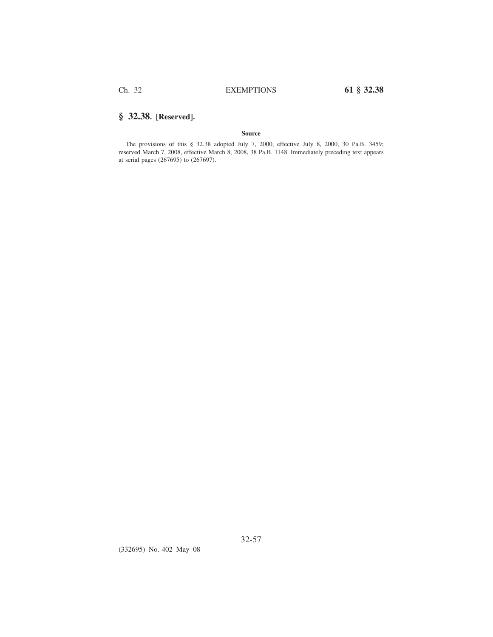Ch. 32 EXEMPTIONS **61 § 32.38**

# **§ 32.38. [Reserved].**

## **Source**

The provisions of this § 32.38 adopted July 7, 2000, effective July 8, 2000, 30 Pa.B. 3459; reserved March 7, 2008, effective March 8, 2008, 38 Pa.B. 1148. Immediately preceding text appears at serial pages (267695) to (267697).

(332695) No. 402 May 08

32-57